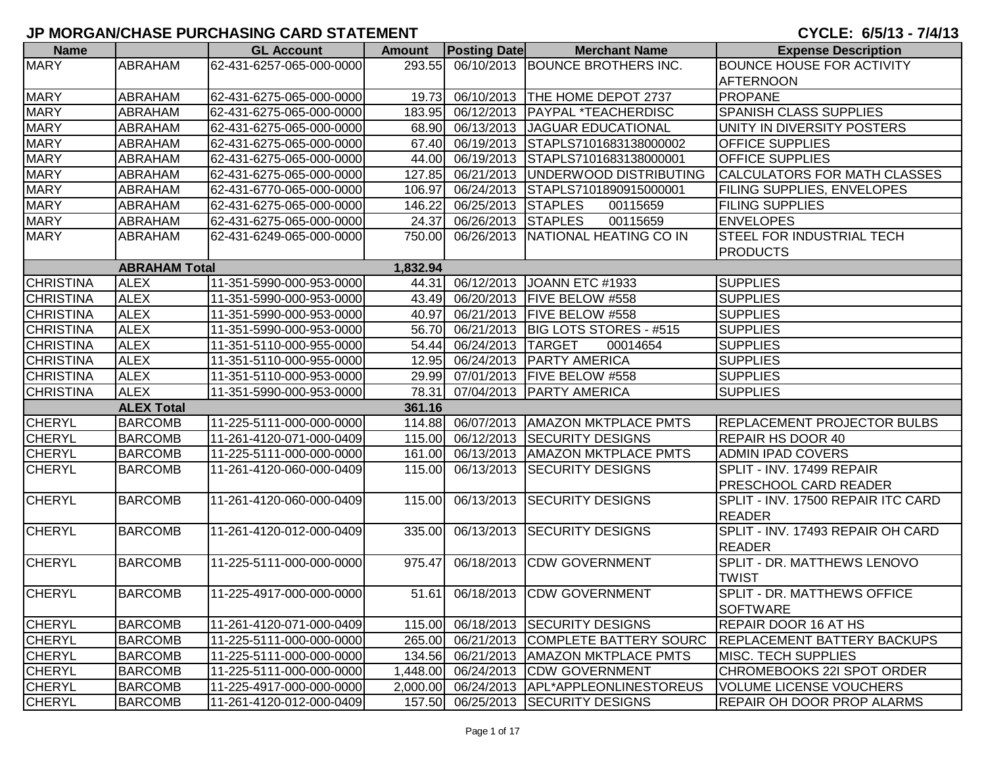| <b>Name</b>      |                      | <b>GL Account</b>        | <b>Amount</b>      | <b>Posting Date</b> | <b>Merchant Name</b>                | <b>Expense Description</b>          |
|------------------|----------------------|--------------------------|--------------------|---------------------|-------------------------------------|-------------------------------------|
| <b>MARY</b>      | ABRAHAM              | 62-431-6257-065-000-0000 | 293.55             |                     | 06/10/2013 BOUNCE BROTHERS INC.     | <b>BOUNCE HOUSE FOR ACTIVITY</b>    |
|                  |                      |                          |                    |                     |                                     | <b>AFTERNOON</b>                    |
| <b>MARY</b>      | <b>ABRAHAM</b>       | 62-431-6275-065-000-0000 | 19.73              |                     | 06/10/2013  THE HOME DEPOT 2737     | <b>PROPANE</b>                      |
| <b>MARY</b>      | <b>ABRAHAM</b>       | 62-431-6275-065-000-0000 | 183.95             |                     | 06/12/2013   PAYPAL *TEACHERDISC    | SPANISH CLASS SUPPLIES              |
| <b>MARY</b>      | ABRAHAM              | 62-431-6275-065-000-0000 | 68.90              |                     | 06/13/2013 JAGUAR EDUCATIONAL       | UNITY IN DIVERSITY POSTERS          |
| <b>MARY</b>      | <b>ABRAHAM</b>       | 62-431-6275-065-000-0000 | 67.40              | 06/19/2013          | STAPLS7101683138000002              | <b>OFFICE SUPPLIES</b>              |
| <b>MARY</b>      | ABRAHAM              | 62-431-6275-065-000-0000 | 44.00              | 06/19/2013          | STAPLS7101683138000001              | <b>OFFICE SUPPLIES</b>              |
| <b>MARY</b>      | ABRAHAM              | 62-431-6275-065-000-0000 | 127.85             |                     | 06/21/2013 UNDERWOOD DISTRIBUTING   | <b>CALCULATORS FOR MATH CLASSES</b> |
| <b>MARY</b>      | ABRAHAM              | 62-431-6770-065-000-0000 | 106.97             | 06/24/2013          | STAPLS7101890915000001              | FILING SUPPLIES, ENVELOPES          |
| <b>MARY</b>      | ABRAHAM              | 62-431-6275-065-000-0000 | 146.22             | 06/25/2013          | <b>STAPLES</b><br>00115659          | <b>FILING SUPPLIES</b>              |
| <b>MARY</b>      | ABRAHAM              | 62-431-6275-065-000-0000 | 24.37              | 06/26/2013          | <b>STAPLES</b><br>00115659          | <b>ENVELOPES</b>                    |
| <b>MARY</b>      | ABRAHAM              | 62-431-6249-065-000-0000 | 750.00             | 06/26/2013          | NATIONAL HEATING CO IN              | <b>STEEL FOR INDUSTRIAL TECH</b>    |
|                  |                      |                          |                    |                     |                                     | <b>PRODUCTS</b>                     |
|                  | <b>ABRAHAM Total</b> |                          | 1,832.94           |                     |                                     |                                     |
| <b>CHRISTINA</b> | <b>ALEX</b>          | 11-351-5990-000-953-0000 | $44.\overline{31}$ |                     | 06/12/2013 JOANN ETC #1933          | <b>SUPPLIES</b>                     |
| <b>CHRISTINA</b> | <b>ALEX</b>          | 11-351-5990-000-953-0000 | 43.49              |                     | 06/20/2013   FIVE BELOW #558        | <b>SUPPLIES</b>                     |
| <b>CHRISTINA</b> | <b>ALEX</b>          | 11-351-5990-000-953-0000 | 40.97              |                     | 06/21/2013   FIVE BELOW #558        | <b>SUPPLIES</b>                     |
| <b>CHRISTINA</b> | <b>ALEX</b>          | 11-351-5990-000-953-0000 | 56.70              |                     | 06/21/2013   BIG LOTS STORES - #515 | <b>SUPPLIES</b>                     |
| <b>CHRISTINA</b> | <b>ALEX</b>          | 11-351-5110-000-955-0000 | 54.44              | 06/24/2013 TARGET   | 00014654                            | <b>SUPPLIES</b>                     |
| <b>CHRISTINA</b> | <b>ALEX</b>          | 11-351-5110-000-955-0000 | 12.95              |                     | 06/24/2013 PARTY AMERICA            | <b>SUPPLIES</b>                     |
| <b>CHRISTINA</b> | <b>ALEX</b>          | 11-351-5110-000-953-0000 | 29.99              |                     | 07/01/2013   FIVE BELOW #558        | <b>SUPPLIES</b>                     |
| <b>CHRISTINA</b> | <b>ALEX</b>          | 11-351-5990-000-953-0000 | 78.31              | 07/04/2013          | <b>PARTY AMERICA</b>                | <b>SUPPLIES</b>                     |
|                  | <b>ALEX Total</b>    |                          | 361.16             |                     |                                     |                                     |
| <b>CHERYL</b>    | <b>BARCOMB</b>       | 11-225-5111-000-000-0000 | 114.88             |                     | 06/07/2013   AMAZON MKTPLACE PMTS   | REPLACEMENT PROJECTOR BULBS         |
| <b>CHERYL</b>    | <b>BARCOMB</b>       | 11-261-4120-071-000-0409 | 115.00             |                     | 06/12/2013 SECURITY DESIGNS         | REPAIR HS DOOR 40                   |
| <b>CHERYL</b>    | <b>BARCOMB</b>       | 11-225-5111-000-000-0000 | 161.00             |                     | 06/13/2013   AMAZON MKTPLACE PMTS   | <b>ADMIN IPAD COVERS</b>            |
| <b>CHERYL</b>    | <b>BARCOMB</b>       | 11-261-4120-060-000-0409 | 115.00             |                     | 06/13/2013 SECURITY DESIGNS         | SPLIT - INV. 17499 REPAIR           |
|                  |                      |                          |                    |                     |                                     | <b>PRESCHOOL CARD READER</b>        |
| <b>CHERYL</b>    | <b>BARCOMB</b>       | 11-261-4120-060-000-0409 | 115.00             |                     | 06/13/2013 SECURITY DESIGNS         | SPLIT - INV. 17500 REPAIR ITC CARD  |
|                  |                      |                          |                    |                     |                                     | <b>READER</b>                       |
| <b>CHERYL</b>    | <b>BARCOMB</b>       | 11-261-4120-012-000-0409 | 335.00             |                     | 06/13/2013 SECURITY DESIGNS         | SPLIT - INV. 17493 REPAIR OH CARD   |
|                  |                      |                          |                    |                     |                                     | <b>READER</b>                       |
| <b>CHERYL</b>    | <b>BARCOMB</b>       | 11-225-5111-000-000-0000 | 975.47             |                     | 06/18/2013 CDW GOVERNMENT           | SPLIT - DR. MATTHEWS LENOVO         |
|                  |                      |                          |                    |                     |                                     | <b>TWIST</b>                        |
| <b>CHERYL</b>    | <b>BARCOMB</b>       | 11-225-4917-000-000-0000 |                    |                     | 51.61 06/18/2013 CDW GOVERNMENT     | SPLIT - DR. MATTHEWS OFFICE         |
|                  |                      |                          |                    |                     |                                     | <b>SOFTWARE</b>                     |
| <b>CHERYL</b>    | <b>BARCOMB</b>       | 11-261-4120-071-000-0409 | 115.00             |                     | 06/18/2013 SECURITY DESIGNS         | REPAIR DOOR 16 AT HS                |
| <b>CHERYL</b>    | <b>BARCOMB</b>       | 11-225-5111-000-000-0000 | 265.00             |                     | 06/21/2013 COMPLETE BATTERY SOURC   | <b>REPLACEMENT BATTERY BACKUPS</b>  |
| <b>CHERYL</b>    | <b>BARCOMB</b>       | 11-225-5111-000-000-0000 | 134.56             |                     | 06/21/2013   AMAZON MKTPLACE PMTS   | <b>MISC. TECH SUPPLIES</b>          |
| <b>CHERYL</b>    | <b>BARCOMB</b>       | 11-225-5111-000-000-0000 | 1,448.00           |                     | 06/24/2013 CDW GOVERNMENT           | CHROMEBOOKS 22I SPOT ORDER          |
| <b>CHERYL</b>    | <b>BARCOMB</b>       | 11-225-4917-000-000-0000 | 2,000.00           |                     | 06/24/2013 APL*APPLEONLINESTOREUS   | <b>VOLUME LICENSE VOUCHERS</b>      |
| <b>CHERYL</b>    | <b>BARCOMB</b>       | 11-261-4120-012-000-0409 |                    |                     | 157.50 06/25/2013 SECURITY DESIGNS  | <b>REPAIR OH DOOR PROP ALARMS</b>   |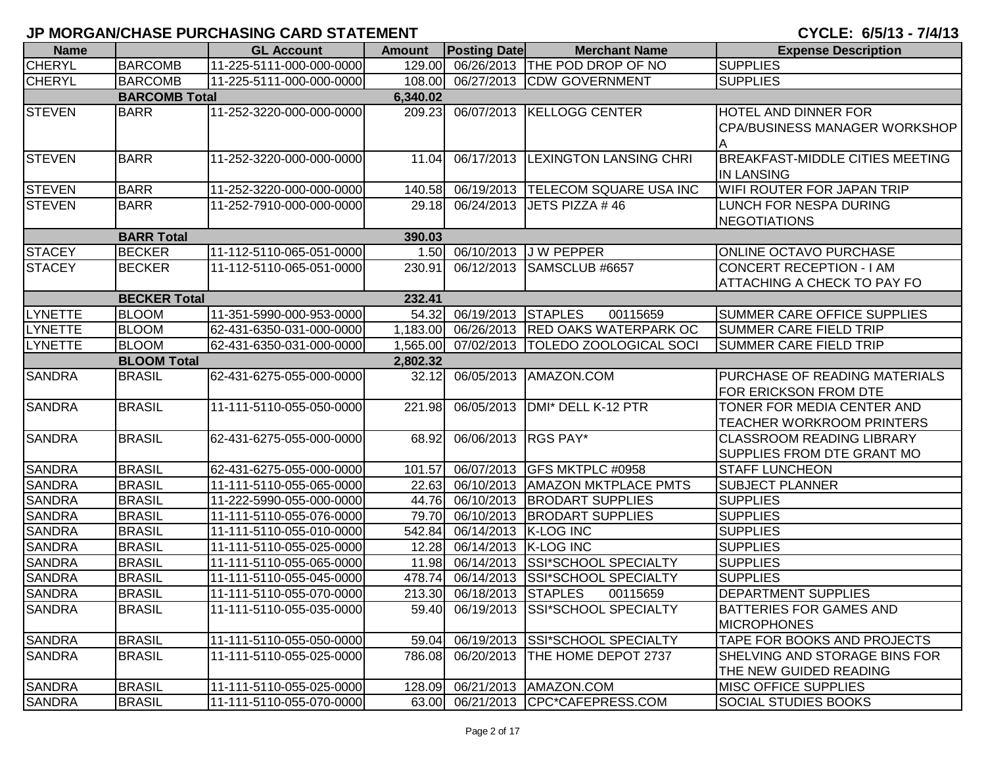| <b>Name</b>    |                      | <b>GL Account</b>        | <b>Amount</b> | <b>Posting Date</b>       | <b>Merchant Name</b>               | <b>Expense Description</b>             |
|----------------|----------------------|--------------------------|---------------|---------------------------|------------------------------------|----------------------------------------|
| <b>CHERYL</b>  | <b>BARCOMB</b>       | 11-225-5111-000-000-0000 | 129.00        |                           | 06/26/2013 THE POD DROP OF NO      | <b>SUPPLIES</b>                        |
| <b>CHERYL</b>  | <b>BARCOMB</b>       | 11-225-5111-000-000-0000 | 108.00        |                           | 06/27/2013 CDW GOVERNMENT          | <b>SUPPLIES</b>                        |
|                | <b>BARCOMB Total</b> |                          | 6,340.02      |                           |                                    |                                        |
| <b>STEVEN</b>  | <b>BARR</b>          | 11-252-3220-000-000-0000 | 209.23        |                           | 06/07/2013 KELLOGG CENTER          | HOTEL AND DINNER FOR                   |
|                |                      |                          |               |                           |                                    | <b>CPA/BUSINESS MANAGER WORKSHOP</b>   |
|                |                      |                          |               |                           |                                    |                                        |
| <b>STEVEN</b>  | <b>BARR</b>          | 11-252-3220-000-000-0000 | 11.04         |                           | 06/17/2013 LEXINGTON LANSING CHRI  | <b>BREAKFAST-MIDDLE CITIES MEETING</b> |
|                |                      |                          |               |                           |                                    | <b>IN LANSING</b>                      |
| <b>STEVEN</b>  | <b>BARR</b>          | 11-252-3220-000-000-0000 | 140.58        |                           | 06/19/2013  TELECOM SQUARE USA INC | WIFI ROUTER FOR JAPAN TRIP             |
| <b>STEVEN</b>  | <b>BARR</b>          | 11-252-7910-000-000-0000 | 29.18         |                           | 06/24/2013 JETS PIZZA #46          | LUNCH FOR NESPA DURING                 |
|                |                      |                          |               |                           |                                    | <b>NEGOTIATIONS</b>                    |
|                | <b>BARR Total</b>    |                          | 390.03        |                           |                                    |                                        |
| <b>STACEY</b>  | <b>BECKER</b>        | 11-112-5110-065-051-0000 |               |                           | 1.50 06/10/2013 J W PEPPER         | ONLINE OCTAVO PURCHASE                 |
| <b>STACEY</b>  | <b>BECKER</b>        | 11-112-5110-065-051-0000 | 230.91        |                           | 06/12/2013 SAMSCLUB #6657          | CONCERT RECEPTION - I AM               |
|                |                      |                          |               |                           |                                    | ATTACHING A CHECK TO PAY FO            |
|                | <b>BECKER Total</b>  |                          | 232.41        |                           |                                    |                                        |
| LYNETTE        | <b>BLOOM</b>         | 11-351-5990-000-953-0000 | 54.32         | 06/19/2013                | <b>STAPLES</b><br>00115659         | SUMMER CARE OFFICE SUPPLIES            |
| <b>LYNETTE</b> | <b>BLOOM</b>         | 62-431-6350-031-000-0000 | 1,183.00      |                           | 06/26/2013 RED OAKS WATERPARK OC   | <b>SUMMER CARE FIELD TRIP</b>          |
| <b>LYNETTE</b> | <b>BLOOM</b>         | 62-431-6350-031-000-0000 | 1,565.00      | 07/02/2013                | <b>TOLEDO ZOOLOGICAL SOCI</b>      | <b>SUMMER CARE FIELD TRIP</b>          |
|                | <b>BLOOM Total</b>   |                          | 2,802.32      |                           |                                    |                                        |
| <b>SANDRA</b>  | <b>BRASIL</b>        | 62-431-6275-055-000-0000 | 32.12         |                           | 06/05/2013   AMAZON.COM            | PURCHASE OF READING MATERIALS          |
|                |                      |                          |               |                           |                                    | FOR ERICKSON FROM DTE                  |
| <b>SANDRA</b>  | <b>BRASIL</b>        | 11-111-5110-055-050-0000 | 221.98        | 06/05/2013                | DMI* DELL K-12 PTR                 | TONER FOR MEDIA CENTER AND             |
|                |                      |                          |               |                           |                                    | TEACHER WORKROOM PRINTERS              |
| <b>SANDRA</b>  | <b>BRASIL</b>        | 62-431-6275-055-000-0000 | 68.92         | 06/06/2013 RGS PAY*       |                                    | <b>CLASSROOM READING LIBRARY</b>       |
|                |                      |                          |               |                           |                                    | SUPPLIES FROM DTE GRANT MO             |
| <b>SANDRA</b>  | <b>BRASIL</b>        | 62-431-6275-055-000-0000 | 101.57        | 06/07/2013                | GFS MKTPLC #0958                   | <b>STAFF LUNCHEON</b>                  |
| <b>SANDRA</b>  | <b>BRASIL</b>        | 11-111-5110-055-065-0000 | 22.63         | 06/10/2013                | <b>AMAZON MKTPLACE PMTS</b>        | <b>SUBJECT PLANNER</b>                 |
| <b>SANDRA</b>  | <b>BRASIL</b>        | 11-222-5990-055-000-0000 | 44.76         | 06/10/2013                | <b>BRODART SUPPLIES</b>            | <b>SUPPLIES</b>                        |
| <b>SANDRA</b>  | <b>BRASIL</b>        | 11-111-5110-055-076-0000 | 79.70         | 06/10/2013                | <b>BRODART SUPPLIES</b>            | <b>SUPPLIES</b>                        |
| <b>SANDRA</b>  | <b>BRASIL</b>        | 11-111-5110-055-010-0000 | 542.84        | 06/14/2013 K-LOG INC      |                                    | <b>SUPPLIES</b>                        |
| <b>SANDRA</b>  | <b>BRASIL</b>        | 11-111-5110-055-025-0000 | 12.28         | 06/14/2013                | K-LOG INC                          | <b>SUPPLIES</b>                        |
| <b>SANDRA</b>  | <b>BRASIL</b>        | 11-111-5110-055-065-0000 | 11.98         | 06/14/2013                | <b>SSI*SCHOOL SPECIALTY</b>        | <b>SUPPLIES</b>                        |
| <b>SANDRA</b>  | <b>BRASIL</b>        | 11-111-5110-055-045-0000 | 478.74        |                           | 06/14/2013 SSI*SCHOOL SPECIALTY    | <b>SUPPLIES</b>                        |
| <b>SANDRA</b>  | <b>BRASIL</b>        | 11-111-5110-055-070-0000 |               | 213.30 06/18/2013 STAPLES | 00115659                           | <b>DEPARTMENT SUPPLIES</b>             |
| <b>SANDRA</b>  | <b>BRASIL</b>        | 11-111-5110-055-035-0000 | 59.40         |                           | 06/19/2013 SSI*SCHOOL SPECIALTY    | <b>BATTERIES FOR GAMES AND</b>         |
|                |                      |                          |               |                           |                                    | <b>MICROPHONES</b>                     |
| <b>SANDRA</b>  | <b>BRASIL</b>        | 11-111-5110-055-050-0000 | 59.04         |                           | 06/19/2013 SSI*SCHOOL SPECIALTY    | TAPE FOR BOOKS AND PROJECTS            |
| <b>SANDRA</b>  | <b>BRASIL</b>        | 11-111-5110-055-025-0000 | 786.08        |                           | 06/20/2013 THE HOME DEPOT 2737     | SHELVING AND STORAGE BINS FOR          |
|                |                      |                          |               |                           |                                    | THE NEW GUIDED READING                 |
| <b>SANDRA</b>  | <b>BRASIL</b>        | 11-111-5110-055-025-0000 |               |                           | 128.09 06/21/2013 AMAZON.COM       | <b>MISC OFFICE SUPPLIES</b>            |
| <b>SANDRA</b>  | <b>BRASIL</b>        | 11-111-5110-055-070-0000 |               |                           | 63.00 06/21/2013 CPC*CAFEPRESS.COM | <b>SOCIAL STUDIES BOOKS</b>            |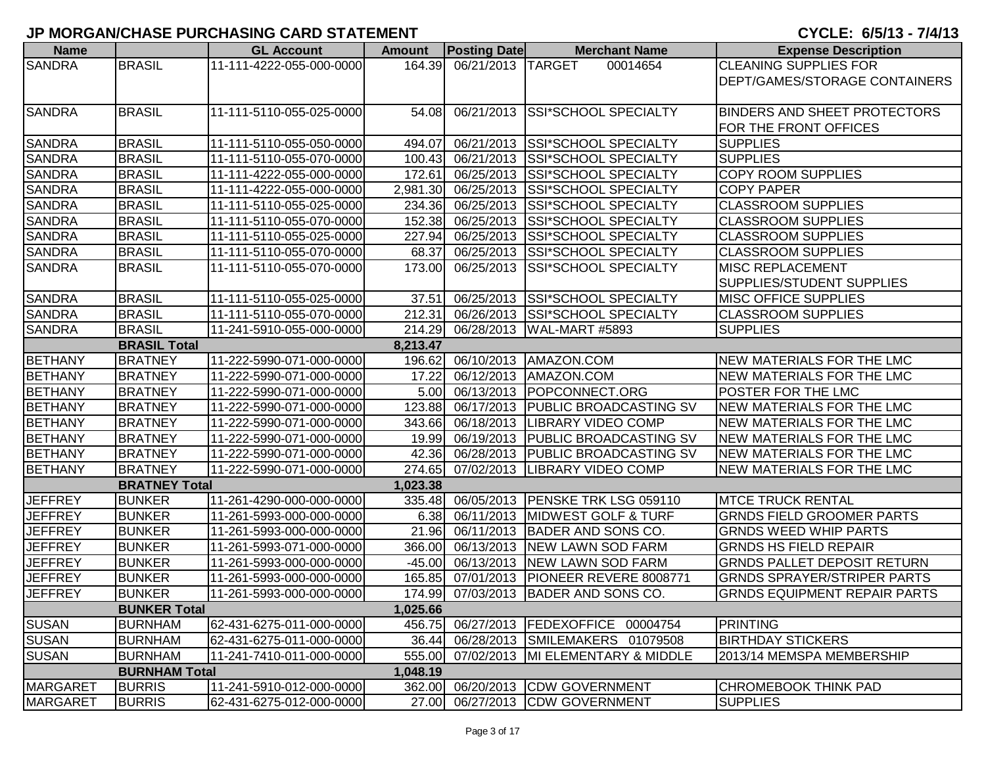| <b>Name</b>     |                      | <b>GL Account</b>        | <b>Amount</b> | <b>Posting Date</b>      | <b>Merchant Name</b>                   | <b>Expense Description</b>          |
|-----------------|----------------------|--------------------------|---------------|--------------------------|----------------------------------------|-------------------------------------|
| <b>SANDRA</b>   | <b>BRASIL</b>        | 11-111-4222-055-000-0000 |               | 164.39 06/21/2013 TARGET | 00014654                               | <b>CLEANING SUPPLIES FOR</b>        |
|                 |                      |                          |               |                          |                                        | DEPT/GAMES/STORAGE CONTAINERS       |
|                 |                      |                          |               |                          |                                        |                                     |
| <b>SANDRA</b>   | <b>BRASIL</b>        | 11-111-5110-055-025-0000 | 54.08         |                          | 06/21/2013 SSI*SCHOOL SPECIALTY        | <b>BINDERS AND SHEET PROTECTORS</b> |
|                 |                      |                          |               |                          |                                        | FOR THE FRONT OFFICES               |
| <b>SANDRA</b>   | <b>BRASIL</b>        | 11-111-5110-055-050-0000 | 494.07        |                          | 06/21/2013 SSI*SCHOOL SPECIALTY        | <b>SUPPLIES</b>                     |
| <b>SANDRA</b>   | <b>BRASIL</b>        | 11-111-5110-055-070-0000 | 100.43        |                          | 06/21/2013 SSI*SCHOOL SPECIALTY        | <b>SUPPLIES</b>                     |
| <b>SANDRA</b>   | <b>BRASIL</b>        | 11-111-4222-055-000-0000 | 172.61        | 06/25/2013               | <b>SSI*SCHOOL SPECIALTY</b>            | <b>COPY ROOM SUPPLIES</b>           |
| <b>SANDRA</b>   | <b>BRASIL</b>        | 11-111-4222-055-000-0000 | 2,981.30      |                          | 06/25/2013 SSI*SCHOOL SPECIALTY        | <b>COPY PAPER</b>                   |
| <b>SANDRA</b>   | <b>BRASIL</b>        | 11-111-5110-055-025-0000 | 234.36        |                          | 06/25/2013 SSI*SCHOOL SPECIALTY        | <b>CLASSROOM SUPPLIES</b>           |
| <b>SANDRA</b>   | <b>BRASIL</b>        | 11-111-5110-055-070-0000 | 152.38        |                          | 06/25/2013 SSI*SCHOOL SPECIALTY        | <b>CLASSROOM SUPPLIES</b>           |
| <b>SANDRA</b>   | <b>BRASIL</b>        | 11-111-5110-055-025-0000 | 227.94        |                          | 06/25/2013 SSI*SCHOOL SPECIALTY        | <b>CLASSROOM SUPPLIES</b>           |
| <b>SANDRA</b>   | <b>BRASIL</b>        | 11-111-5110-055-070-0000 | 68.37         |                          | 06/25/2013 SSI*SCHOOL SPECIALTY        | <b>CLASSROOM SUPPLIES</b>           |
| <b>SANDRA</b>   | <b>BRASIL</b>        | 11-111-5110-055-070-0000 | 173.00        |                          | 06/25/2013 SSI*SCHOOL SPECIALTY        | <b>MISC REPLACEMENT</b>             |
|                 |                      |                          |               |                          |                                        | SUPPLIES/STUDENT SUPPLIES           |
| <b>SANDRA</b>   | <b>BRASIL</b>        | 11-111-5110-055-025-0000 | 37.51         |                          | 06/25/2013 SSI*SCHOOL SPECIALTY        | <b>MISC OFFICE SUPPLIES</b>         |
| <b>SANDRA</b>   | <b>BRASIL</b>        | 11-111-5110-055-070-0000 | 212.31        |                          | 06/26/2013 SSI*SCHOOL SPECIALTY        | <b>CLASSROOM SUPPLIES</b>           |
| <b>SANDRA</b>   | <b>BRASIL</b>        | 11-241-5910-055-000-0000 | 214.29        |                          | 06/28/2013   WAL-MART #5893            | <b>SUPPLIES</b>                     |
|                 | <b>BRASIL Total</b>  |                          | 8,213.47      |                          |                                        |                                     |
| <b>BETHANY</b>  | <b>BRATNEY</b>       | 11-222-5990-071-000-0000 | 196.62        |                          | 06/10/2013 AMAZON.COM                  | NEW MATERIALS FOR THE LMC           |
| <b>BETHANY</b>  | <b>BRATNEY</b>       | 11-222-5990-071-000-0000 | 17.22         |                          | 06/12/2013   AMAZON.COM                | <b>NEW MATERIALS FOR THE LMC</b>    |
| <b>BETHANY</b>  | <b>BRATNEY</b>       | 11-222-5990-071-000-0000 | 5.00          |                          | 06/13/2013 POPCONNECT.ORG              | POSTER FOR THE LMC                  |
| <b>BETHANY</b>  | <b>BRATNEY</b>       | 11-222-5990-071-000-0000 | 123.88        |                          | 06/17/2013   PUBLIC BROADCASTING SV    | NEW MATERIALS FOR THE LMC           |
| BETHANY         | <b>BRATNEY</b>       | 11-222-5990-071-000-0000 | 343.66        |                          | 06/18/2013  LIBRARY VIDEO COMP         | NEW MATERIALS FOR THE LMC           |
| <b>BETHANY</b>  | <b>BRATNEY</b>       | 11-222-5990-071-000-0000 | 19.99         |                          | 06/19/2013 PUBLIC BROADCASTING SV      | NEW MATERIALS FOR THE LMC           |
| <b>BETHANY</b>  | <b>BRATNEY</b>       | 11-222-5990-071-000-0000 | 42.36         |                          | 06/28/2013   PUBLIC BROADCASTING SV    | NEW MATERIALS FOR THE LMC           |
| <b>BETHANY</b>  | <b>BRATNEY</b>       | 11-222-5990-071-000-0000 | 274.65        |                          | 07/02/2013 LIBRARY VIDEO COMP          | NEW MATERIALS FOR THE LMC           |
|                 | <b>BRATNEY Total</b> |                          | 1,023.38      |                          |                                        |                                     |
| <b>JEFFREY</b>  | <b>BUNKER</b>        | 11-261-4290-000-000-0000 | 335.48        |                          | 06/05/2013   PENSKE TRK LSG 059110     | <b>MTCE TRUCK RENTAL</b>            |
| <b>JEFFREY</b>  | <b>BUNKER</b>        | 11-261-5993-000-000-0000 | 6.38          |                          | 06/11/2013 MIDWEST GOLF & TURF         | <b>GRNDS FIELD GROOMER PARTS</b>    |
| <b>JEFFREY</b>  | <b>BUNKER</b>        | 11-261-5993-000-000-0000 | 21.96         |                          | 06/11/2013 BADER AND SONS CO.          | <b>GRNDS WEED WHIP PARTS</b>        |
| <b>JEFFREY</b>  | <b>BUNKER</b>        | 11-261-5993-071-000-0000 | 366.00        |                          | 06/13/2013 NEW LAWN SOD FARM           | <b>GRNDS HS FIELD REPAIR</b>        |
| <b>JEFFREY</b>  | <b>BUNKER</b>        | 11-261-5993-000-000-0000 | $-45.00$      | 06/13/2013               | <b>NEW LAWN SOD FARM</b>               | <b>GRNDS PALLET DEPOSIT RETURN</b>  |
| <b>JEFFREY</b>  | <b>BUNKER</b>        | 11-261-5993-000-000-0000 | 165.85        |                          | 07/01/2013   PIONEER REVERE 8008771    | <b>GRNDS SPRAYER/STRIPER PARTS</b>  |
| <b>JEFFREY</b>  | <b>BUNKER</b>        | 11-261-5993-000-000-0000 |               |                          | 174.99 07/03/2013 BADER AND SONS CO.   | <b>GRNDS EQUIPMENT REPAIR PARTS</b> |
|                 | <b>BUNKER Total</b>  |                          | 1,025.66      |                          |                                        |                                     |
| <b>SUSAN</b>    | <b>BURNHAM</b>       | 62-431-6275-011-000-0000 |               |                          | 456.75 06/27/2013 FEDEXOFFICE 00004754 | PRINTING                            |
| <b>SUSAN</b>    | <b>BURNHAM</b>       | 62-431-6275-011-000-0000 |               |                          | 36.44 06/28/2013 SMILEMAKERS 01079508  | <b>BIRTHDAY STICKERS</b>            |
| <b>SUSAN</b>    | <b>BURNHAM</b>       | 11-241-7410-011-000-0000 | 555.00        |                          | 07/02/2013  MI ELEMENTARY & MIDDLE     | 2013/14 MEMSPA MEMBERSHIP           |
|                 | <b>BURNHAM Total</b> |                          | 1,048.19      |                          |                                        |                                     |
| <b>MARGARET</b> | <b>BURRIS</b>        | 11-241-5910-012-000-0000 |               |                          | 362.00 06/20/2013 CDW GOVERNMENT       | <b>CHROMEBOOK THINK PAD</b>         |
| <b>MARGARET</b> | <b>BURRIS</b>        | 62-431-6275-012-000-0000 |               |                          | 27.00 06/27/2013 CDW GOVERNMENT        | <b>SUPPLIES</b>                     |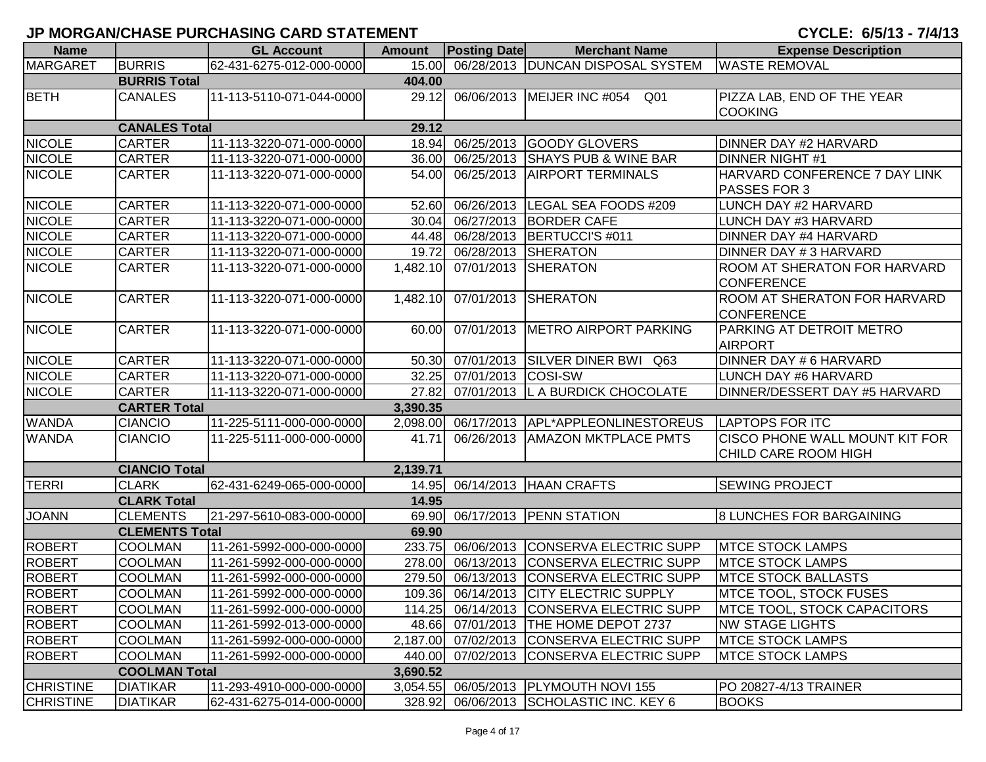| <b>Name</b>      |                       | <b>GL Account</b>        | <b>Amount</b> | <b>Posting Date</b> | <b>Merchant Name</b>                       | <b>Expense Description</b>                                    |
|------------------|-----------------------|--------------------------|---------------|---------------------|--------------------------------------------|---------------------------------------------------------------|
| <b>MARGARET</b>  | <b>BURRIS</b>         | 62-431-6275-012-000-0000 |               |                     | 15.00 06/28/2013 DUNCAN DISPOSAL SYSTEM    | <b>WASTE REMOVAL</b>                                          |
|                  | <b>BURRIS Total</b>   |                          | 404.00        |                     |                                            |                                                               |
| <b>BETH</b>      | <b>CANALES</b>        | 11-113-5110-071-044-0000 | 29.12         |                     | 06/06/2013 MEIJER INC #054<br>Q01          | PIZZA LAB, END OF THE YEAR<br><b>COOKING</b>                  |
|                  | <b>CANALES Total</b>  |                          | 29.12         |                     |                                            |                                                               |
| <b>NICOLE</b>    | <b>CARTER</b>         | 11-113-3220-071-000-0000 | 18.94         |                     | 06/25/2013 GOODY GLOVERS                   | DINNER DAY #2 HARVARD                                         |
| <b>NICOLE</b>    | <b>CARTER</b>         | 11-113-3220-071-000-0000 | 36.00         |                     | 06/25/2013 SHAYS PUB & WINE BAR            | <b>DINNER NIGHT #1</b>                                        |
| <b>NICOLE</b>    | <b>CARTER</b>         | 11-113-3220-071-000-0000 | 54.00         |                     | 06/25/2013 AIRPORT TERMINALS               | HARVARD CONFERENCE 7 DAY LINK                                 |
|                  |                       |                          |               |                     |                                            | PASSES FOR 3                                                  |
| <b>NICOLE</b>    | <b>CARTER</b>         | 11-113-3220-071-000-0000 | 52.60         |                     | 06/26/2013   LEGAL SEA FOODS #209          | LUNCH DAY #2 HARVARD                                          |
| <b>NICOLE</b>    | <b>CARTER</b>         | 11-113-3220-071-000-0000 | 30.04         |                     | 06/27/2013 BORDER CAFE                     | LUNCH DAY #3 HARVARD                                          |
| <b>NICOLE</b>    | <b>CARTER</b>         | 11-113-3220-071-000-0000 | 44.48         |                     | 06/28/2013 BERTUCCI'S #011                 | DINNER DAY #4 HARVARD                                         |
| <b>NICOLE</b>    | <b>CARTER</b>         | 11-113-3220-071-000-0000 | 19.72         |                     | 06/28/2013 SHERATON                        | DINNER DAY # 3 HARVARD                                        |
| <b>NICOLE</b>    | <b>CARTER</b>         | 11-113-3220-071-000-0000 | 1,482.10      |                     | 07/01/2013 SHERATON                        | <b>ROOM AT SHERATON FOR HARVARD</b><br><b>CONFERENCE</b>      |
| <b>NICOLE</b>    | <b>CARTER</b>         | 11-113-3220-071-000-0000 | 1,482.10      |                     | 07/01/2013 SHERATON                        | <b>ROOM AT SHERATON FOR HARVARD</b><br><b>CONFERENCE</b>      |
| <b>NICOLE</b>    | <b>CARTER</b>         | 11-113-3220-071-000-0000 | 60.00         |                     | 07/01/2013 METRO AIRPORT PARKING           | PARKING AT DETROIT METRO<br><b>AIRPORT</b>                    |
| <b>NICOLE</b>    | <b>CARTER</b>         | 11-113-3220-071-000-0000 | 50.30         |                     | 07/01/2013 SILVER DINER BWI Q63            | DINNER DAY # 6 HARVARD                                        |
| <b>NICOLE</b>    | <b>CARTER</b>         | 11-113-3220-071-000-0000 | 32.25         | 07/01/2013 COSI-SW  |                                            | LUNCH DAY #6 HARVARD                                          |
| <b>NICOLE</b>    | <b>CARTER</b>         | 11-113-3220-071-000-0000 | 27.82         |                     | 07/01/2013 L A BURDICK CHOCOLATE           | DINNER/DESSERT DAY #5 HARVARD                                 |
|                  | <b>CARTER Total</b>   |                          | 3,390.35      |                     |                                            |                                                               |
| <b>WANDA</b>     | <b>CIANCIO</b>        | 11-225-5111-000-000-0000 | 2,098.00      |                     | 06/17/2013 APL*APPLEONLINESTOREUS          | <b>LAPTOPS FOR ITC</b>                                        |
| <b>WANDA</b>     | <b>CIANCIO</b>        | 11-225-5111-000-000-0000 | 41.71         |                     | 06/26/2013   AMAZON MKTPLACE PMTS          | <b>CISCO PHONE WALL MOUNT KIT FOR</b><br>CHILD CARE ROOM HIGH |
|                  | <b>CIANCIO Total</b>  |                          | 2,139.71      |                     |                                            |                                                               |
| <b>TERRI</b>     | <b>CLARK</b>          | 62-431-6249-065-000-0000 |               |                     | 14.95 06/14/2013 HAAN CRAFTS               | <b>SEWING PROJECT</b>                                         |
|                  | <b>CLARK Total</b>    |                          | 14.95         |                     |                                            |                                                               |
| <b>JOANN</b>     | <b>CLEMENTS</b>       | 21-297-5610-083-000-0000 | 69.90         |                     | 06/17/2013 PENN STATION                    | <b>8 LUNCHES FOR BARGAINING</b>                               |
|                  | <b>CLEMENTS Total</b> |                          | 69.90         |                     |                                            |                                                               |
| <b>ROBERT</b>    | <b>COOLMAN</b>        | 11-261-5992-000-000-0000 | 233.75        |                     | 06/06/2013 CONSERVA ELECTRIC SUPP          | <b>MTCE STOCK LAMPS</b>                                       |
| <b>ROBERT</b>    | <b>COOLMAN</b>        | 11-261-5992-000-000-0000 | 278.00        |                     | 06/13/2013 CONSERVA ELECTRIC SUPP          | <b>MTCE STOCK LAMPS</b>                                       |
| <b>ROBERT</b>    | <b>COOLMAN</b>        | 11-261-5992-000-000-0000 | 279.50        |                     | 06/13/2013 CONSERVA ELECTRIC SUPP          | <b>MTCE STOCK BALLASTS</b>                                    |
| <b>ROBERT</b>    | <b>COOLMAN</b>        | 11-261-5992-000-000-0000 | 109.36        |                     | 06/14/2013 CITY ELECTRIC SUPPLY            | MTCE TOOL, STOCK FUSES                                        |
| <b>ROBERT</b>    | <b>COOLMAN</b>        | 11-261-5992-000-000-0000 | 114.25        |                     | 06/14/2013 CONSERVA ELECTRIC SUPP          | <b>IMTCE TOOL, STOCK CAPACITORS</b>                           |
| <b>ROBERT</b>    | <b>COOLMAN</b>        | 11-261-5992-013-000-0000 |               |                     | 48.66 07/01/2013 THE HOME DEPOT 2737       | <b>NW STAGE LIGHTS</b>                                        |
| <b>ROBERT</b>    | <b>COOLMAN</b>        | 11-261-5992-000-000-0000 |               |                     | 2,187.00 07/02/2013 CONSERVA ELECTRIC SUPP | <b>MTCE STOCK LAMPS</b>                                       |
| <b>ROBERT</b>    | <b>COOLMAN</b>        | 11-261-5992-000-000-0000 | 440.00        |                     | 07/02/2013 CONSERVA ELECTRIC SUPP          | <b>MTCE STOCK LAMPS</b>                                       |
|                  | <b>COOLMAN Total</b>  |                          | 3,690.52      |                     |                                            |                                                               |
| <b>CHRISTINE</b> | <b>DIATIKAR</b>       | 11-293-4910-000-000-0000 |               |                     | 3,054.55 06/05/2013 PLYMOUTH NOVI 155      | PO 20827-4/13 TRAINER                                         |
| <b>CHRISTINE</b> | <b>DIATIKAR</b>       | 62-431-6275-014-000-0000 |               |                     | 328.92 06/06/2013 SCHOLASTIC INC. KEY 6    | <b>BOOKS</b>                                                  |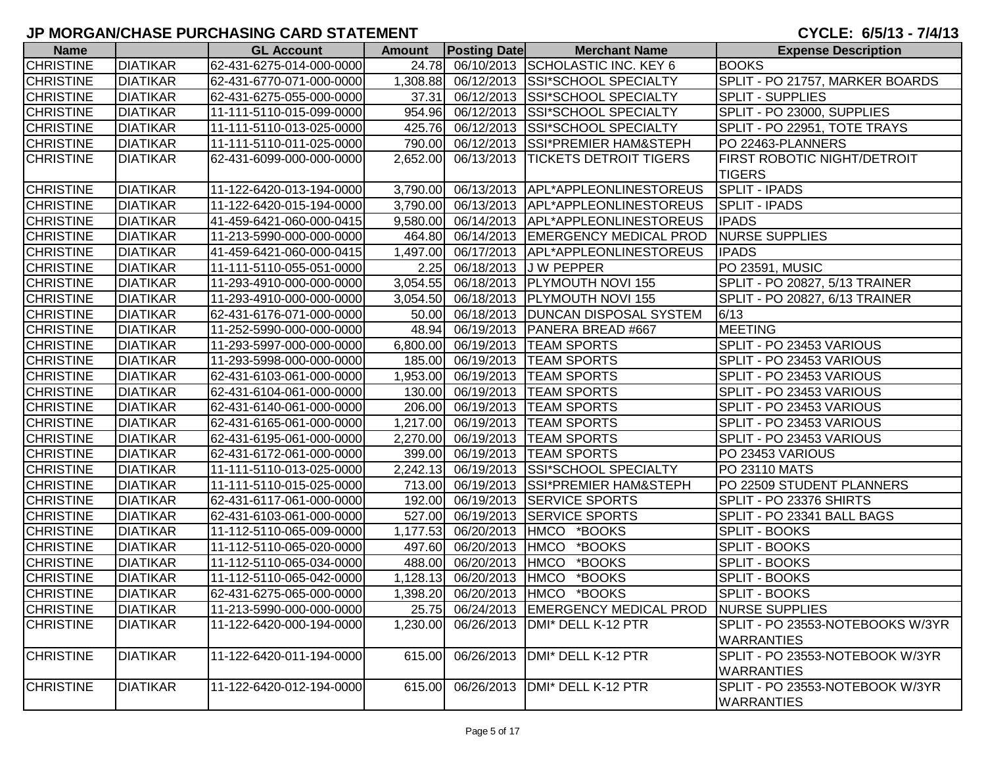| <b>Name</b>      |                 | <b>GL Account</b>        | <b>Amount</b> | <b>Posting Date</b> | <b>Merchant Name</b>                    | <b>Expense Description</b>                          |
|------------------|-----------------|--------------------------|---------------|---------------------|-----------------------------------------|-----------------------------------------------------|
| <b>CHRISTINE</b> | <b>DIATIKAR</b> | 62-431-6275-014-000-0000 | 24.78         |                     | 06/10/2013 SCHOLASTIC INC. KEY 6        | <b>BOOKS</b>                                        |
| <b>CHRISTINE</b> | <b>DIATIKAR</b> | 62-431-6770-071-000-0000 | 1,308.88      |                     | 06/12/2013 SSI*SCHOOL SPECIALTY         | SPLIT - PO 21757, MARKER BOARDS                     |
| <b>CHRISTINE</b> | <b>DIATIKAR</b> | 62-431-6275-055-000-0000 | 37.31         |                     | 06/12/2013 SSI*SCHOOL SPECIALTY         | <b>SPLIT - SUPPLIES</b>                             |
| <b>CHRISTINE</b> | <b>DIATIKAR</b> | 11-111-5110-015-099-0000 | 954.96        |                     | 06/12/2013 SSI*SCHOOL SPECIALTY         | SPLIT - PO 23000, SUPPLIES                          |
| <b>CHRISTINE</b> | <b>DIATIKAR</b> | 11-111-5110-013-025-0000 | 425.76        |                     | 06/12/2013 SSI*SCHOOL SPECIALTY         | SPLIT - PO 22951, TOTE TRAYS                        |
| <b>CHRISTINE</b> | <b>DIATIKAR</b> | 11-111-5110-011-025-0000 | 790.00        |                     | 06/12/2013 SSI*PREMIER HAM&STEPH        | PO 22463-PLANNERS                                   |
| <b>CHRISTINE</b> | <b>DIATIKAR</b> | 62-431-6099-000-000-0000 | 2,652.00      |                     | 06/13/2013  TICKETS DETROIT TIGERS      | <b>FIRST ROBOTIC NIGHT/DETROIT</b><br><b>TIGERS</b> |
| <b>CHRISTINE</b> | <b>DIATIKAR</b> | 11-122-6420-013-194-0000 | 3,790.00      |                     | 06/13/2013 APL*APPLEONLINESTOREUS       | <b>SPLIT - IPADS</b>                                |
| <b>CHRISTINE</b> | <b>DIATIKAR</b> | 11-122-6420-015-194-0000 | 3,790.00      |                     | 06/13/2013 APL*APPLEONLINESTOREUS       | <b>SPLIT - IPADS</b>                                |
| <b>CHRISTINE</b> | <b>DIATIKAR</b> | 41-459-6421-060-000-0415 | 9,580.00      |                     | 06/14/2013 APL*APPLEONLINESTOREUS       | <b>IPADS</b>                                        |
| <b>CHRISTINE</b> | <b>DIATIKAR</b> | 11-213-5990-000-000-0000 | 464.80        |                     | 06/14/2013 EMERGENCY MEDICAL PROD       | <b>NURSE SUPPLIES</b>                               |
| <b>CHRISTINE</b> | <b>DIATIKAR</b> | 41-459-6421-060-000-0415 | 1,497.00      |                     | 06/17/2013   APL*APPLEONLINESTOREUS     | <b>IPADS</b>                                        |
| <b>CHRISTINE</b> | <b>DIATIKAR</b> | 11-111-5110-055-051-0000 | 2.25          |                     | 06/18/2013 J W PEPPER                   | PO 23591, MUSIC                                     |
| <b>CHRISTINE</b> | <b>DIATIKAR</b> | 11-293-4910-000-000-0000 | 3,054.55      |                     | 06/18/2013   PLYMOUTH NOVI 155          | SPLIT - PO 20827, 5/13 TRAINER                      |
| <b>CHRISTINE</b> | <b>DIATIKAR</b> | 11-293-4910-000-000-0000 | 3,054.50      |                     | 06/18/2013   PLYMOUTH NOVI 155          | SPLIT - PO 20827, 6/13 TRAINER                      |
| <b>CHRISTINE</b> | <b>DIATIKAR</b> | 62-431-6176-071-000-0000 | 50.00         |                     | 06/18/2013   DUNCAN DISPOSAL SYSTEM     | 6/13                                                |
| <b>CHRISTINE</b> | <b>DIATIKAR</b> | 11-252-5990-000-000-0000 | 48.94         |                     | 06/19/2013 PANERA BREAD #667            | <b>MEETING</b>                                      |
| <b>CHRISTINE</b> | <b>DIATIKAR</b> | 11-293-5997-000-000-0000 | 6,800.00      |                     | 06/19/2013  TEAM SPORTS                 | SPLIT - PO 23453 VARIOUS                            |
| <b>CHRISTINE</b> | <b>DIATIKAR</b> | 11-293-5998-000-000-0000 | 185.00        |                     | 06/19/2013  TEAM SPORTS                 | SPLIT - PO 23453 VARIOUS                            |
| <b>CHRISTINE</b> | <b>DIATIKAR</b> | 62-431-6103-061-000-0000 | 1,953.00      |                     | 06/19/2013  TEAM SPORTS                 | SPLIT - PO 23453 VARIOUS                            |
| <b>CHRISTINE</b> | <b>DIATIKAR</b> | 62-431-6104-061-000-0000 | 130.00        |                     | 06/19/2013  TEAM SPORTS                 | SPLIT - PO 23453 VARIOUS                            |
| <b>CHRISTINE</b> | <b>DIATIKAR</b> | 62-431-6140-061-000-0000 | 206.00        |                     | 06/19/2013  TEAM SPORTS                 | SPLIT - PO 23453 VARIOUS                            |
| <b>CHRISTINE</b> | <b>DIATIKAR</b> | 62-431-6165-061-000-0000 | 1,217.00      |                     | 06/19/2013   TEAM SPORTS                | SPLIT - PO 23453 VARIOUS                            |
| <b>CHRISTINE</b> | <b>DIATIKAR</b> | 62-431-6195-061-000-0000 | 2,270.00      |                     | 06/19/2013   TEAM SPORTS                | SPLIT - PO 23453 VARIOUS                            |
| <b>CHRISTINE</b> | <b>DIATIKAR</b> | 62-431-6172-061-000-0000 | 399.00        |                     | 06/19/2013   TEAM SPORTS                | PO 23453 VARIOUS                                    |
| <b>CHRISTINE</b> | <b>DIATIKAR</b> | 11-111-5110-013-025-0000 | 2,242.13      |                     | 06/19/2013 SSI*SCHOOL SPECIALTY         | <b>PO 23110 MATS</b>                                |
| <b>CHRISTINE</b> | <b>DIATIKAR</b> | 11-111-5110-015-025-0000 | 713.00        |                     | 06/19/2013 SSI*PREMIER HAM&STEPH        | PO 22509 STUDENT PLANNERS                           |
| <b>CHRISTINE</b> | <b>DIATIKAR</b> | 62-431-6117-061-000-0000 | 192.00        |                     | 06/19/2013 SERVICE SPORTS               | SPLIT - PO 23376 SHIRTS                             |
| <b>CHRISTINE</b> | <b>DIATIKAR</b> | 62-431-6103-061-000-0000 | 527.00        |                     | 06/19/2013 SERVICE SPORTS               | SPLIT - PO 23341 BALL BAGS                          |
| <b>CHRISTINE</b> | <b>DIATIKAR</b> | 11-112-5110-065-009-0000 | 1,177.53      |                     | 06/20/2013 HMCO *BOOKS                  | SPLIT - BOOKS                                       |
| <b>CHRISTINE</b> | <b>DIATIKAR</b> | 11-112-5110-065-020-0000 | 497.60        | 06/20/2013 HMCO     | *BOOKS                                  | <b>SPLIT - BOOKS</b>                                |
| <b>CHRISTINE</b> | <b>DIATIKAR</b> | 11-112-5110-065-034-0000 | 488.00        | 06/20/2013 HMCO     | *BOOKS                                  | SPLIT - BOOKS                                       |
| <b>CHRISTINE</b> | <b>DIATIKAR</b> | 11-112-5110-065-042-0000 | 1,128.13      | 06/20/2013 HMCO     | *BOOKS                                  | <b>SPLIT - BOOKS</b>                                |
| <b>CHRISTINE</b> | <b>DIATIKAR</b> | 62-431-6275-065-000-0000 |               |                     | 1,398.20 06/20/2013 HMCO *BOOKS         | <b>SPLIT - BOOKS</b>                                |
| <b>CHRISTINE</b> | <b>DIATIKAR</b> | 11-213-5990-000-000-0000 |               |                     | 25.75 06/24/2013 EMERGENCY MEDICAL PROD | <b>NURSE SUPPLIES</b>                               |
| <b>CHRISTINE</b> | <b>DIATIKAR</b> | 11-122-6420-000-194-0000 | 1,230.00      |                     | 06/26/2013   DMI* DELL K-12 PTR         | SPLIT - PO 23553-NOTEBOOKS W/3YR                    |
|                  |                 |                          |               |                     |                                         | <b>WARRANTIES</b>                                   |
| <b>CHRISTINE</b> | <b>DIATIKAR</b> | 11-122-6420-011-194-0000 | 615.00        |                     | 06/26/2013   DMI* DELL K-12 PTR         | SPLIT - PO 23553-NOTEBOOK W/3YR                     |
|                  |                 |                          |               |                     |                                         | <b>WARRANTIES</b>                                   |
| <b>CHRISTINE</b> | <b>DIATIKAR</b> | 11-122-6420-012-194-0000 | 615.00        |                     | 06/26/2013   DMI* DELL K-12 PTR         | SPLIT - PO 23553-NOTEBOOK W/3YR                     |
|                  |                 |                          |               |                     |                                         | <b>WARRANTIES</b>                                   |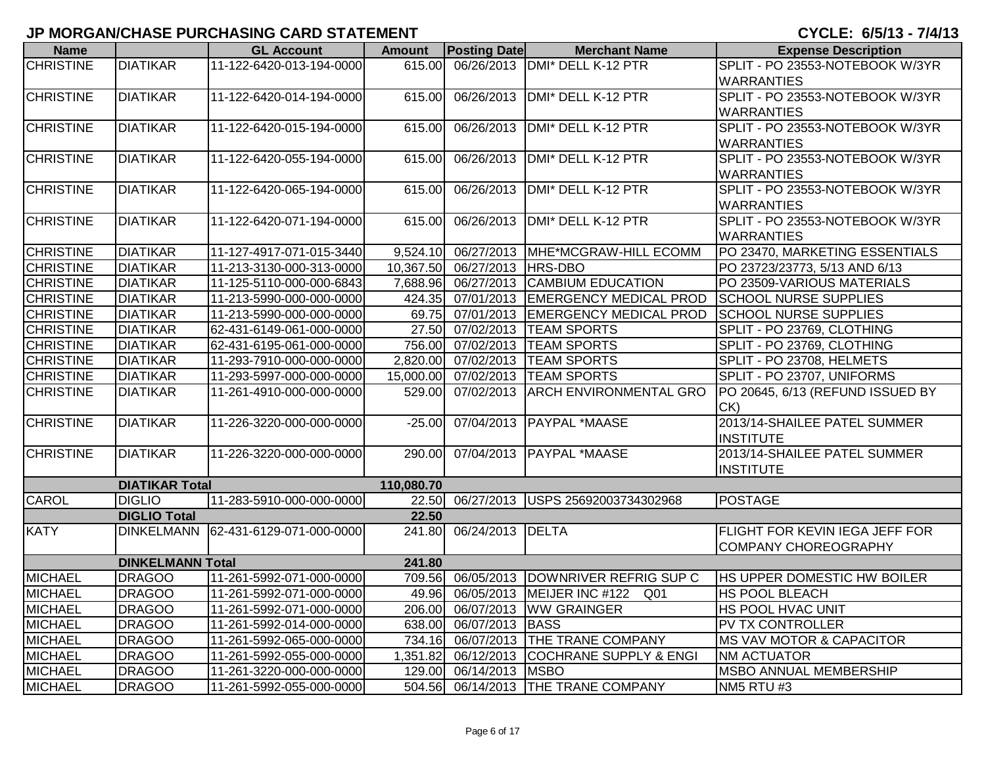| <b>Name</b>      |                         | <b>GL Account</b>        | <b>Amount</b> | <b>Posting Date</b>          | <b>Merchant Name</b>                       | <b>Expense Description</b>            |
|------------------|-------------------------|--------------------------|---------------|------------------------------|--------------------------------------------|---------------------------------------|
| <b>CHRISTINE</b> | <b>DIATIKAR</b>         | 11-122-6420-013-194-0000 | 615.00        |                              | 06/26/2013 DMI* DELL K-12 PTR              | SPLIT - PO 23553-NOTEBOOK W/3YR       |
|                  |                         |                          |               |                              |                                            | <b>WARRANTIES</b>                     |
| <b>CHRISTINE</b> | <b>DIATIKAR</b>         | 11-122-6420-014-194-0000 | 615.00        |                              | 06/26/2013   DMI* DELL K-12 PTR            | SPLIT - PO 23553-NOTEBOOK W/3YR       |
|                  |                         |                          |               |                              |                                            | <b>WARRANTIES</b>                     |
| <b>CHRISTINE</b> | <b>DIATIKAR</b>         | 11-122-6420-015-194-0000 | 615.00        |                              | 06/26/2013   DMI* DELL K-12 PTR            | SPLIT - PO 23553-NOTEBOOK W/3YR       |
|                  |                         |                          |               |                              |                                            | <b>WARRANTIES</b>                     |
| <b>CHRISTINE</b> | <b>DIATIKAR</b>         | 11-122-6420-055-194-0000 | 615.00        |                              | 06/26/2013   DMI* DELL K-12 PTR            | SPLIT - PO 23553-NOTEBOOK W/3YR       |
|                  |                         |                          |               |                              |                                            | <b>WARRANTIES</b>                     |
| <b>CHRISTINE</b> | <b>DIATIKAR</b>         | 11-122-6420-065-194-0000 | 615.00        | 06/26/2013                   | DMI* DELL K-12 PTR                         | SPLIT - PO 23553-NOTEBOOK W/3YR       |
|                  |                         |                          |               |                              |                                            | <b>WARRANTIES</b>                     |
| <b>CHRISTINE</b> | <b>DIATIKAR</b>         | 11-122-6420-071-194-0000 | 615.00        |                              | 06/26/2013 DMI* DELL K-12 PTR              | SPLIT - PO 23553-NOTEBOOK W/3YR       |
|                  |                         |                          |               |                              |                                            | <b>WARRANTIES</b>                     |
| <b>CHRISTINE</b> | <b>DIATIKAR</b>         | 11-127-4917-071-015-3440 | 9,524.10      |                              | 06/27/2013   MHE*MCGRAW-HILL ECOMM         | PO 23470, MARKETING ESSENTIALS        |
| <b>CHRISTINE</b> | <b>DIATIKAR</b>         | 11-213-3130-000-313-0000 |               | 10,367.50 06/27/2013 HRS-DBO |                                            | PO 23723/23773, 5/13 AND 6/13         |
| <b>CHRISTINE</b> | <b>DIATIKAR</b>         | 11-125-5110-000-000-6843 | 7,688.96      |                              | 06/27/2013 CAMBIUM EDUCATION               | PO 23509-VARIOUS MATERIALS            |
| <b>CHRISTINE</b> | <b>DIATIKAR</b>         | 11-213-5990-000-000-0000 | 424.35        |                              | 07/01/2013 EMERGENCY MEDICAL PROD          | <b>SCHOOL NURSE SUPPLIES</b>          |
| <b>CHRISTINE</b> | <b>DIATIKAR</b>         | 11-213-5990-000-000-0000 | 69.75         |                              | 07/01/2013 EMERGENCY MEDICAL PROD          | <b>SCHOOL NURSE SUPPLIES</b>          |
| <b>CHRISTINE</b> | <b>DIATIKAR</b>         | 62-431-6149-061-000-0000 | 27.50         |                              | 07/02/2013 TEAM SPORTS                     | SPLIT - PO 23769, CLOTHING            |
| <b>CHRISTINE</b> | <b>DIATIKAR</b>         | 62-431-6195-061-000-0000 | 756.00        |                              | 07/02/2013 TEAM SPORTS                     | SPLIT - PO 23769, CLOTHING            |
| <b>CHRISTINE</b> | <b>DIATIKAR</b>         | 11-293-7910-000-000-0000 | 2,820.00      |                              | 07/02/2013 TEAM SPORTS                     | SPLIT - PO 23708, HELMETS             |
| <b>CHRISTINE</b> | <b>DIATIKAR</b>         | 11-293-5997-000-000-0000 | 15,000.00     |                              | 07/02/2013  TEAM SPORTS                    | SPLIT - PO 23707, UNIFORMS            |
| <b>CHRISTINE</b> | <b>DIATIKAR</b>         | 11-261-4910-000-000-0000 | 529.00        | 07/02/2013                   | <b>ARCH ENVIRONMENTAL GRO</b>              | PO 20645, 6/13 (REFUND ISSUED BY      |
|                  |                         |                          |               |                              |                                            | $CK$ )                                |
| <b>CHRISTINE</b> | <b>DIATIKAR</b>         | 11-226-3220-000-000-0000 | $-25.00$      |                              | 07/04/2013   PAYPAL *MAASE                 | 2013/14-SHAILEE PATEL SUMMER          |
|                  |                         |                          |               |                              |                                            | <b>INSTITUTE</b>                      |
| <b>CHRISTINE</b> | <b>DIATIKAR</b>         | 11-226-3220-000-000-0000 | 290.00        |                              | 07/04/2013 PAYPAL MAASE                    | 2013/14-SHAILEE PATEL SUMMER          |
|                  |                         |                          |               |                              |                                            | <b>INSTITUTE</b>                      |
|                  | <b>DIATIKAR Total</b>   |                          | 110,080.70    |                              |                                            |                                       |
| <b>CAROL</b>     | <b>DIGLIO</b>           | 11-283-5910-000-000-0000 | 22.50         |                              | 06/27/2013 USPS 25692003734302968          | <b>POSTAGE</b>                        |
|                  | <b>DIGLIO Total</b>     |                          | 22.50         |                              |                                            |                                       |
| <b>KATY</b>      | <b>DINKELMANN</b>       | 62-431-6129-071-000-0000 | 241.80        | 06/24/2013 DELTA             |                                            | <b>FLIGHT FOR KEVIN IEGA JEFF FOR</b> |
|                  |                         |                          |               |                              |                                            | <b>COMPANY CHOREOGRAPHY</b>           |
|                  | <b>DINKELMANN Total</b> |                          | 241.80        |                              |                                            |                                       |
| <b>MICHAEL</b>   | <b>DRAGOO</b>           | 11-261-5992-071-000-0000 | 709.56        |                              | 06/05/2013 DOWNRIVER REFRIG SUP C          | HS UPPER DOMESTIC HW BOILER           |
| <b>MICHAEL</b>   | <b>DRAGOO</b>           | 11-261-5992-071-000-0000 |               |                              | 49.96 06/05/2013 MEIJER INC #122 Q01       | <b>HS POOL BLEACH</b>                 |
| <b>MICHAEL</b>   | <b>DRAGOO</b>           | 11-261-5992-071-000-0000 |               |                              | 206.00 06/07/2013 WW GRAINGER              | <b>IHS POOL HVAC UNIT</b>             |
| <b>MICHAEL</b>   | <b>DRAGOO</b>           | 11-261-5992-014-000-0000 |               | 638.00 06/07/2013 BASS       |                                            | <b>PV TX CONTROLLER</b>               |
| <b>MICHAEL</b>   | <b>DRAGOO</b>           | 11-261-5992-065-000-0000 |               |                              | 734.16 06/07/2013 THE TRANE COMPANY        | <b>MS VAV MOTOR &amp; CAPACITOR</b>   |
| <b>MICHAEL</b>   | <b>DRAGOO</b>           | 11-261-5992-055-000-0000 |               |                              | 1,351.82 06/12/2013 COCHRANE SUPPLY & ENGI | <b>NM ACTUATOR</b>                    |
| <b>MICHAEL</b>   | <b>DRAGOO</b>           | 11-261-3220-000-000-0000 |               | 129.00 06/14/2013 MSBO       |                                            | <b>MSBO ANNUAL MEMBERSHIP</b>         |
| <b>MICHAEL</b>   | <b>DRAGOO</b>           | 11-261-5992-055-000-0000 |               |                              | 504.56 06/14/2013 THE TRANE COMPANY        | NM5 RTU #3                            |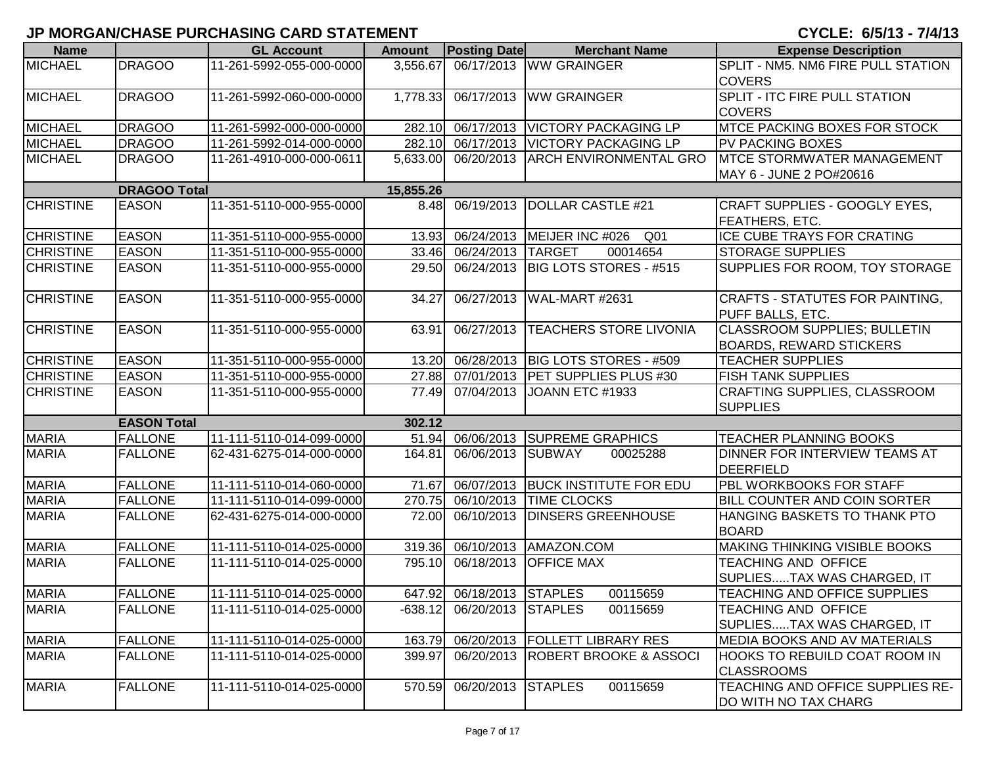| <b>Name</b>      |                     | <b>GL Account</b>        | <b>Amount</b> | <b>Posting Date</b>       | <b>Merchant Name</b>                | <b>Expense Description</b>             |
|------------------|---------------------|--------------------------|---------------|---------------------------|-------------------------------------|----------------------------------------|
| <b>MICHAEL</b>   | <b>DRAGOO</b>       | 11-261-5992-055-000-0000 | 3,556.67      |                           | 06/17/2013 WW GRAINGER              | SPLIT - NM5. NM6 FIRE PULL STATION     |
|                  |                     |                          |               |                           |                                     | <b>COVERS</b>                          |
| <b>MICHAEL</b>   | <b>DRAGOO</b>       | 11-261-5992-060-000-0000 | 1,778.33      |                           | 06/17/2013 WW GRAINGER              | <b>SPLIT - ITC FIRE PULL STATION</b>   |
|                  |                     |                          |               |                           |                                     | <b>COVERS</b>                          |
| <b>MICHAEL</b>   | <b>DRAGOO</b>       | 11-261-5992-000-000-0000 | 282.10        |                           | 06/17/2013   VICTORY PACKAGING LP   | <b>MTCE PACKING BOXES FOR STOCK</b>    |
| <b>MICHAEL</b>   | <b>DRAGOO</b>       | 11-261-5992-014-000-0000 | 282.10        |                           | 06/17/2013   VICTORY PACKAGING LP   | PV PACKING BOXES                       |
| <b>MICHAEL</b>   | <b>DRAGOO</b>       | 11-261-4910-000-000-0611 | 5,633.00      |                           | 06/20/2013 ARCH ENVIRONMENTAL GRO   | <b>IMTCE STORMWATER MANAGEMENT</b>     |
|                  |                     |                          |               |                           |                                     | MAY 6 - JUNE 2 PO#20616                |
|                  | <b>DRAGOO Total</b> |                          | 15,855.26     |                           |                                     |                                        |
| <b>CHRISTINE</b> | <b>EASON</b>        | 11-351-5110-000-955-0000 | 8.48          | 06/19/2013                | DOLLAR CASTLE #21                   | CRAFT SUPPLIES - GOOGLY EYES,          |
|                  |                     |                          |               |                           |                                     | FEATHERS, ETC.                         |
| <b>CHRISTINE</b> | <b>EASON</b>        | 11-351-5110-000-955-0000 | 13.93         |                           | 06/24/2013   MEIJER INC #026<br>Q01 | <b>ICE CUBE TRAYS FOR CRATING</b>      |
| <b>CHRISTINE</b> | <b>EASON</b>        | 11-351-5110-000-955-0000 | 33.46         | 06/24/2013 TARGET         | 00014654                            | <b>STORAGE SUPPLIES</b>                |
| <b>CHRISTINE</b> | <b>EASON</b>        | 11-351-5110-000-955-0000 | 29.50         |                           | 06/24/2013   BIG LOTS STORES - #515 | SUPPLIES FOR ROOM, TOY STORAGE         |
|                  |                     |                          |               |                           |                                     |                                        |
| <b>CHRISTINE</b> | <b>EASON</b>        | 11-351-5110-000-955-0000 | 34.27         | 06/27/2013                | WAL-MART #2631                      | <b>CRAFTS - STATUTES FOR PAINTING,</b> |
|                  |                     |                          |               |                           |                                     | PUFF BALLS, ETC.                       |
| <b>CHRISTINE</b> | <b>EASON</b>        | 11-351-5110-000-955-0000 | 63.91         |                           | 06/27/2013  TEACHERS STORE LIVONIA  | <b>CLASSROOM SUPPLIES; BULLETIN</b>    |
|                  |                     |                          |               |                           |                                     | <b>BOARDS, REWARD STICKERS</b>         |
| <b>CHRISTINE</b> | <b>EASON</b>        | 11-351-5110-000-955-0000 | 13.20         |                           | 06/28/2013   BIG LOTS STORES - #509 | <b>TEACHER SUPPLIES</b>                |
| <b>CHRISTINE</b> | <b>EASON</b>        | 11-351-5110-000-955-0000 | 27.88         |                           | 07/01/2013 PET SUPPLIES PLUS #30    | <b>FISH TANK SUPPLIES</b>              |
| <b>CHRISTINE</b> | <b>EASON</b>        | 11-351-5110-000-955-0000 | 77.49         | 07/04/2013                | JOANN ETC #1933                     | CRAFTING SUPPLIES, CLASSROOM           |
|                  |                     |                          |               |                           |                                     | <b>SUPPLIES</b>                        |
|                  | <b>EASON Total</b>  |                          | 302.12        |                           |                                     |                                        |
| <b>MARIA</b>     | <b>FALLONE</b>      | 11-111-5110-014-099-0000 | 51.94         |                           | 06/06/2013 SUPREME GRAPHICS         | <b>TEACHER PLANNING BOOKS</b>          |
| <b>MARIA</b>     | <b>FALLONE</b>      | 62-431-6275-014-000-0000 | 164.81        | 06/06/2013 SUBWAY         | 00025288                            | DINNER FOR INTERVIEW TEAMS AT          |
|                  |                     |                          |               |                           |                                     | DEERFIELD                              |
| <b>MARIA</b>     | <b>FALLONE</b>      | 11-111-5110-014-060-0000 | 71.67         |                           | 06/07/2013 BUCK INSTITUTE FOR EDU   | PBL WORKBOOKS FOR STAFF                |
| <b>MARIA</b>     | <b>FALLONE</b>      | 11-111-5110-014-099-0000 | 270.75        |                           | 06/10/2013 TIME CLOCKS              | BILL COUNTER AND COIN SORTER           |
| <b>MARIA</b>     | <b>FALLONE</b>      | 62-431-6275-014-000-0000 | 72.00         |                           | 06/10/2013 DINSERS GREENHOUSE       | HANGING BASKETS TO THANK PTO           |
|                  |                     |                          |               |                           |                                     | <b>BOARD</b>                           |
| <b>MARIA</b>     | <b>FALLONE</b>      | 11-111-5110-014-025-0000 | 319.36        |                           | 06/10/2013 AMAZON.COM               | <b>MAKING THINKING VISIBLE BOOKS</b>   |
| <b>MARIA</b>     | <b>FALLONE</b>      | 11-111-5110-014-025-0000 | 795.10        |                           | 06/18/2013 OFFICE MAX               | <b>TEACHING AND OFFICE</b>             |
|                  |                     |                          |               |                           |                                     | SUPLIESTAX WAS CHARGED, IT             |
| <b>MARIA</b>     | <b>FALLONE</b>      | 11-111-5110-014-025-0000 |               | 647.92 06/18/2013 STAPLES | 00115659                            | TEACHING AND OFFICE SUPPLIES           |
| <b>MARIA</b>     | <b>FALLONE</b>      | 11-111-5110-014-025-0000 | $-638.12$     | 06/20/2013 STAPLES        | 00115659                            | <b>TEACHING AND OFFICE</b>             |
|                  |                     |                          |               |                           |                                     | SUPLIESTAX WAS CHARGED, IT             |
| <b>MARIA</b>     | <b>FALLONE</b>      | 11-111-5110-014-025-0000 | 163.79        |                           | 06/20/2013   FOLLETT LIBRARY RES    | <b>MEDIA BOOKS AND AV MATERIALS</b>    |
| <b>MARIA</b>     | <b>FALLONE</b>      | 11-111-5110-014-025-0000 | 399.97        |                           | 06/20/2013 ROBERT BROOKE & ASSOCI   | <b>HOOKS TO REBUILD COAT ROOM IN</b>   |
|                  |                     |                          |               |                           |                                     | <b>CLASSROOMS</b>                      |
| <b>MARIA</b>     | <b>FALLONE</b>      | 11-111-5110-014-025-0000 | 570.59        | 06/20/2013 STAPLES        | 00115659                            | TEACHING AND OFFICE SUPPLIES RE-       |
|                  |                     |                          |               |                           |                                     | DO WITH NO TAX CHARG                   |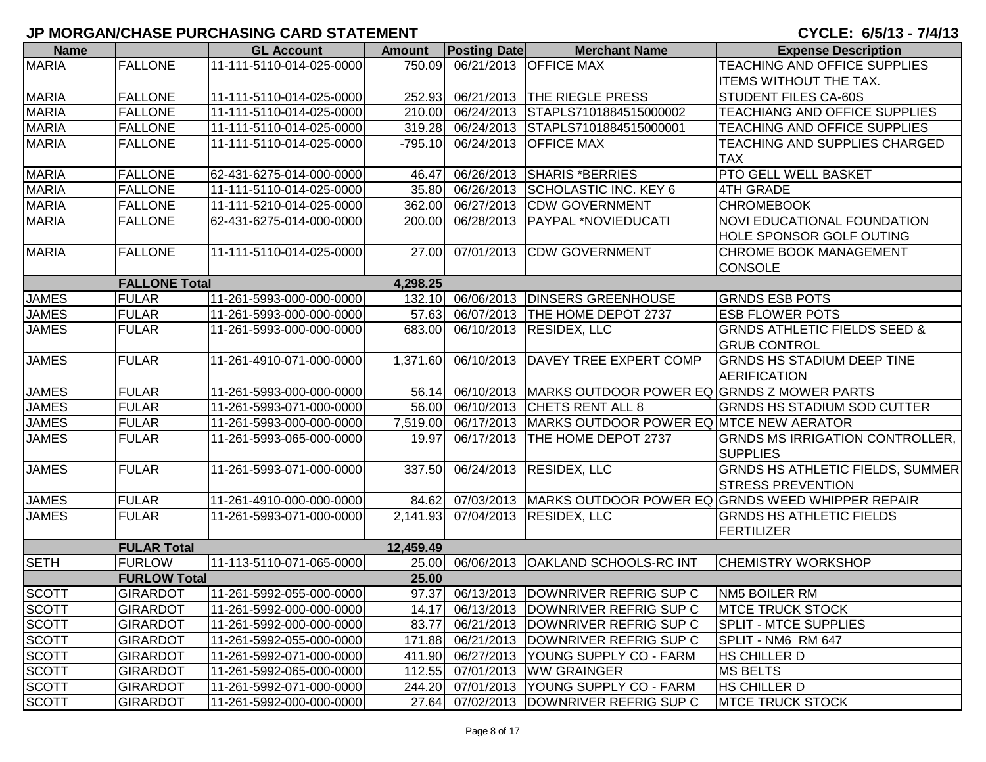| <b>Name</b>  |                      | <b>GL Account</b>        | <b>Amount</b> | <b>Posting Date</b> | <b>Merchant Name</b>                                  | <b>Expense Description</b>                                  |
|--------------|----------------------|--------------------------|---------------|---------------------|-------------------------------------------------------|-------------------------------------------------------------|
| <b>MARIA</b> | <b>FALLONE</b>       | 11-111-5110-014-025-0000 | 750.09        |                     | 06/21/2013 OFFICE MAX                                 | TEACHING AND OFFICE SUPPLIES                                |
|              |                      |                          |               |                     |                                                       | ITEMS WITHOUT THE TAX.                                      |
| <b>MARIA</b> | <b>FALLONE</b>       | 11-111-5110-014-025-0000 | 252.93        |                     | 06/21/2013 THE RIEGLE PRESS                           | STUDENT FILES CA-60S                                        |
| <b>MARIA</b> | <b>FALLONE</b>       | 11-111-5110-014-025-0000 | 210.00        | 06/24/2013          | STAPLS7101884515000002                                | TEACHIANG AND OFFICE SUPPLIES                               |
| <b>MARIA</b> | <b>FALLONE</b>       | 11-111-5110-014-025-0000 | 319.28        | 06/24/2013          | STAPLS7101884515000001                                | TEACHING AND OFFICE SUPPLIES                                |
| <b>MARIA</b> | <b>FALLONE</b>       | 11-111-5110-014-025-0000 | $-795.10$     |                     | 06/24/2013 OFFICE MAX                                 | TEACHING AND SUPPLIES CHARGED                               |
|              |                      |                          |               |                     |                                                       | <b>TAX</b>                                                  |
| <b>MARIA</b> | <b>FALLONE</b>       | 62-431-6275-014-000-0000 | 46.47         | 06/26/2013          | <b>SHARIS *BERRIES</b>                                | <b>PTO GELL WELL BASKET</b>                                 |
| <b>MARIA</b> | <b>FALLONE</b>       | 11-111-5110-014-025-0000 | 35.80         | 06/26/2013          | <b>SCHOLASTIC INC. KEY 6</b>                          | <b>4TH GRADE</b>                                            |
| <b>MARIA</b> | <b>FALLONE</b>       | 11-111-5210-014-025-0000 | 362.00        |                     | 06/27/2013 CDW GOVERNMENT                             | <b>CHROMEBOOK</b>                                           |
| <b>MARIA</b> | <b>FALLONE</b>       | 62-431-6275-014-000-0000 | 200.00        | 06/28/2013          | PAYPAL *NOVIEDUCATI                                   | <b>NOVI EDUCATIONAL FOUNDATION</b>                          |
|              |                      |                          |               |                     |                                                       | HOLE SPONSOR GOLF OUTING                                    |
| <b>MARIA</b> | <b>FALLONE</b>       | 11-111-5110-014-025-0000 | 27.00         | 07/01/2013          | <b>CDW GOVERNMENT</b>                                 | <b>CHROME BOOK MANAGEMENT</b>                               |
|              |                      |                          |               |                     |                                                       | <b>CONSOLE</b>                                              |
|              | <b>FALLONE Total</b> |                          | 4,298.25      |                     |                                                       |                                                             |
| <b>JAMES</b> | <b>FULAR</b>         | 11-261-5993-000-000-0000 |               |                     | 132.10 06/06/2013 DINSERS GREENHOUSE                  | <b>GRNDS ESB POTS</b>                                       |
| <b>JAMES</b> | <b>FULAR</b>         | 11-261-5993-000-000-0000 | 57.63         |                     | 06/07/2013 THE HOME DEPOT 2737                        | <b>ESB FLOWER POTS</b>                                      |
| <b>JAMES</b> | <b>FULAR</b>         | 11-261-5993-000-000-0000 | 683.00        |                     | 06/10/2013 RESIDEX, LLC                               | <b>GRNDS ATHLETIC FIELDS SEED &amp;</b>                     |
|              |                      |                          |               |                     |                                                       | <b>GRUB CONTROL</b>                                         |
| <b>JAMES</b> | <b>FULAR</b>         | 11-261-4910-071-000-0000 | 1,371.60      |                     | 06/10/2013 DAVEY TREE EXPERT COMP                     | <b>GRNDS HS STADIUM DEEP TINE</b>                           |
|              |                      |                          |               |                     |                                                       | <b>AERIFICATION</b>                                         |
| <b>JAMES</b> | <b>FULAR</b>         | 11-261-5993-000-000-0000 | 56.14         |                     | 06/10/2013 MARKS OUTDOOR POWER EQ GRNDS Z MOWER PARTS |                                                             |
| <b>JAMES</b> | <b>FULAR</b>         | 11-261-5993-071-000-0000 | 56.00         | 06/10/2013          | <b>CHETS RENT ALL 8</b>                               | <b>GRNDS HS STADIUM SOD CUTTER</b>                          |
| <b>JAMES</b> | <b>FULAR</b>         | 11-261-5993-000-000-0000 | 7,519.00      | 06/17/2013          | MARKS OUTDOOR POWER EQ MTCE NEW AERATOR               |                                                             |
| <b>JAMES</b> | <b>FULAR</b>         | 11-261-5993-065-000-0000 | 19.97         | 06/17/2013          | THE HOME DEPOT 2737                                   | GRNDS MS IRRIGATION CONTROLLER,                             |
|              |                      |                          |               |                     |                                                       | <b>SUPPLIES</b>                                             |
| <b>JAMES</b> | <b>FULAR</b>         | 11-261-5993-071-000-0000 | 337.50        |                     | 06/24/2013 RESIDEX, LLC                               | <b>GRNDS HS ATHLETIC FIELDS, SUMMER</b>                     |
|              |                      |                          |               |                     |                                                       | <b>STRESS PREVENTION</b>                                    |
| <b>JAMES</b> | <b>FULAR</b>         | 11-261-4910-000-000-0000 | 84.62         |                     |                                                       | 07/03/2013 MARKS OUTDOOR POWER EQ GRNDS WEED WHIPPER REPAIR |
| <b>JAMES</b> | <b>FULAR</b>         | 11-261-5993-071-000-0000 |               |                     | 2,141.93 07/04/2013 RESIDEX, LLC                      | <b>GRNDS HS ATHLETIC FIELDS</b>                             |
|              |                      |                          |               |                     |                                                       | FERTILIZER                                                  |
|              | <b>FULAR Total</b>   |                          | 12,459.49     |                     |                                                       |                                                             |
| <b>SETH</b>  | <b>FURLOW</b>        | 11-113-5110-071-065-0000 | 25.00         |                     | 06/06/2013 OAKLAND SCHOOLS-RC INT                     | <b>CHEMISTRY WORKSHOP</b>                                   |
|              | <b>FURLOW Total</b>  |                          | 25.00         |                     |                                                       |                                                             |
| <b>SCOTT</b> | <b>GIRARDOT</b>      | 11-261-5992-055-000-0000 |               |                     | 97.37 06/13/2013 DOWNRIVER REFRIG SUP C               | <b>NM5 BOILER RM</b>                                        |
| <b>SCOTT</b> | <b>GIRARDOT</b>      | 11-261-5992-000-000-0000 |               |                     | 14.17 06/13/2013 DOWNRIVER REFRIG SUP C               | <b>MTCE TRUCK STOCK</b>                                     |
| <b>SCOTT</b> | <b>GIRARDOT</b>      | 11-261-5992-000-000-0000 | 83.77         |                     | 06/21/2013  DOWNRIVER REFRIG SUP C                    | <b>SPLIT - MTCE SUPPLIES</b>                                |
| SCOTT        | <b>GIRARDOT</b>      | 11-261-5992-055-000-0000 | 171.88        |                     | 06/21/2013   DOWNRIVER REFRIG SUP C                   | SPLIT - NM6 RM 647                                          |
| <b>SCOTT</b> | <b>GIRARDOT</b>      | 11-261-5992-071-000-0000 |               |                     | 411.90 06/27/2013 YOUNG SUPPLY CO - FARM              | <b>HS CHILLER D</b>                                         |
| <b>SCOTT</b> | <b>GIRARDOT</b>      | 11-261-5992-065-000-0000 | 112.55        |                     | 07/01/2013   WW GRAINGER                              | <b>MS BELTS</b>                                             |
| <b>SCOTT</b> | <b>GIRARDOT</b>      | 11-261-5992-071-000-0000 |               |                     | 244.20 07/01/2013 YOUNG SUPPLY CO - FARM              | HS CHILLER D                                                |
| <b>SCOTT</b> | <b>GIRARDOT</b>      | 11-261-5992-000-000-0000 |               |                     | 27.64 07/02/2013 DOWNRIVER REFRIG SUP C               | <b>MTCE TRUCK STOCK</b>                                     |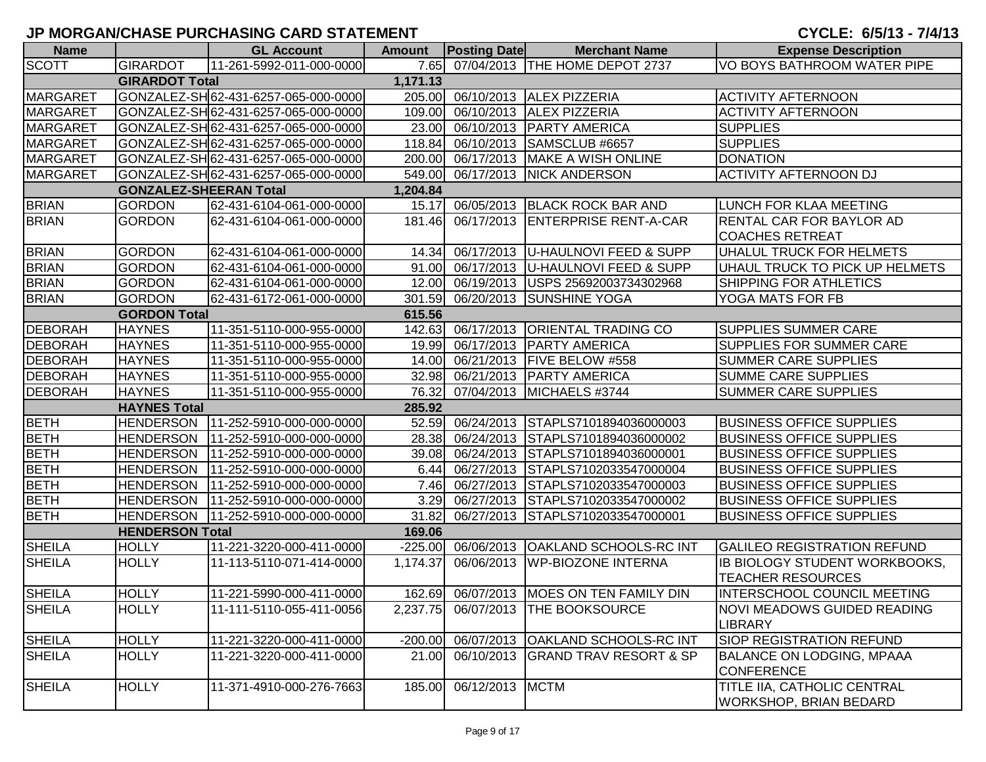| <b>Name</b>     |                                           | <b>GL Account</b>                    | <b>Amount</b> | <b>Posting Date</b> | <b>Merchant Name</b>                     | <b>Expense Description</b>                                          |  |  |  |  |
|-----------------|-------------------------------------------|--------------------------------------|---------------|---------------------|------------------------------------------|---------------------------------------------------------------------|--|--|--|--|
| <b>SCOTT</b>    | <b>GIRARDOT</b>                           | 11-261-5992-011-000-0000             |               |                     | 7.65 07/04/2013 THE HOME DEPOT 2737      | VO BOYS BATHROOM WATER PIPE                                         |  |  |  |  |
|                 | <b>GIRARDOT Total</b>                     |                                      | 1,171.13      |                     |                                          |                                                                     |  |  |  |  |
| <b>MARGARET</b> |                                           | GONZALEZ-SH62-431-6257-065-000-0000  |               |                     | 205.00 06/10/2013 ALEX PIZZERIA          | <b>ACTIVITY AFTERNOON</b>                                           |  |  |  |  |
| <b>MARGARET</b> |                                           | GONZALEZ-SH 62-431-6257-065-000-0000 | 109.00        |                     | 06/10/2013 ALEX PIZZERIA                 | <b>ACTIVITY AFTERNOON</b>                                           |  |  |  |  |
| <b>MARGARET</b> |                                           | GONZALEZ-SH 62-431-6257-065-000-0000 | 23.00         |                     | 06/10/2013   PARTY AMERICA               | <b>SUPPLIES</b>                                                     |  |  |  |  |
| <b>MARGARET</b> |                                           | GONZALEZ-SH 62-431-6257-065-000-0000 | 118.84        |                     | 06/10/2013 SAMSCLUB #6657                | <b>SUPPLIES</b>                                                     |  |  |  |  |
| <b>MARGARET</b> |                                           | GONZALEZ-SH62-431-6257-065-000-0000  | 200.00        |                     | 06/17/2013 MAKE A WISH ONLINE            | <b>DONATION</b>                                                     |  |  |  |  |
| <b>MARGARET</b> |                                           | GONZALEZ-SH 62-431-6257-065-000-0000 | 549.00        |                     | 06/17/2013 NICK ANDERSON                 | <b>ACTIVITY AFTERNOON DJ</b>                                        |  |  |  |  |
|                 | <b>GONZALEZ-SHEERAN Total</b><br>1,204.84 |                                      |               |                     |                                          |                                                                     |  |  |  |  |
| <b>BRIAN</b>    | <b>GORDON</b>                             | 62-431-6104-061-000-0000             |               |                     | 15.17 06/05/2013 BLACK ROCK BAR AND      | <b>LUNCH FOR KLAA MEETING</b>                                       |  |  |  |  |
| <b>BRIAN</b>    | <b>GORDON</b>                             | 62-431-6104-061-000-0000             | 181.46        |                     | 06/17/2013 ENTERPRISE RENT-A-CAR         | <b>RENTAL CAR FOR BAYLOR AD</b><br><b>COACHES RETREAT</b>           |  |  |  |  |
| <b>BRIAN</b>    | <b>GORDON</b>                             | 62-431-6104-061-000-0000             | 14.34         |                     | 06/17/2013 U-HAULNOVI FEED & SUPP        | UHALUL TRUCK FOR HELMETS                                            |  |  |  |  |
| <b>BRIAN</b>    | <b>GORDON</b>                             | 62-431-6104-061-000-0000             | 91.00         |                     | 06/17/2013 U-HAULNOVI FEED & SUPP        | UHAUL TRUCK TO PICK UP HELMETS                                      |  |  |  |  |
| <b>BRIAN</b>    | <b>GORDON</b>                             | 62-431-6104-061-000-0000             | 12.00         |                     | 06/19/2013   USPS 25692003734302968      | SHIPPING FOR ATHLETICS                                              |  |  |  |  |
| <b>BRIAN</b>    | <b>GORDON</b>                             | 62-431-6172-061-000-0000             | 301.59        |                     | 06/20/2013 SUNSHINE YOGA                 | YOGA MATS FOR FB                                                    |  |  |  |  |
|                 | <b>GORDON Total</b>                       |                                      | 615.56        |                     |                                          |                                                                     |  |  |  |  |
| DEBORAH         | <b>HAYNES</b>                             | 11-351-5110-000-955-0000             |               |                     | 142.63 06/17/2013 ORIENTAL TRADING CO    | <b>SUPPLIES SUMMER CARE</b>                                         |  |  |  |  |
| <b>DEBORAH</b>  | <b>HAYNES</b>                             | 11-351-5110-000-955-0000             |               |                     | 19.99 06/17/2013 PARTY AMERICA           | <b>SUPPLIES FOR SUMMER CARE</b>                                     |  |  |  |  |
| DEBORAH         | <b>HAYNES</b>                             | 11-351-5110-000-955-0000             | 14.00         |                     | 06/21/2013   FIVE BELOW #558             | <b>SUMMER CARE SUPPLIES</b>                                         |  |  |  |  |
| <b>DEBORAH</b>  | <b>HAYNES</b>                             | 11-351-5110-000-955-0000             | 32.98         |                     | 06/21/2013 PARTY AMERICA                 | <b>SUMME CARE SUPPLIES</b>                                          |  |  |  |  |
| <b>DEBORAH</b>  | <b>HAYNES</b>                             | 11-351-5110-000-955-0000             | 76.32         |                     | 07/04/2013 MICHAELS #3744                | <b>SUMMER CARE SUPPLIES</b>                                         |  |  |  |  |
|                 | <b>HAYNES Total</b>                       |                                      | 285.92        |                     |                                          |                                                                     |  |  |  |  |
| BETH            | <b>HENDERSON</b>                          | 11-252-5910-000-000-0000             |               |                     | 52.59 06/24/2013 STAPLS7101894036000003  | <b>BUSINESS OFFICE SUPPLIES</b>                                     |  |  |  |  |
| <b>BETH</b>     | <b>HENDERSON</b>                          | 11-252-5910-000-000-0000             | 28.38         |                     | 06/24/2013 STAPLS7101894036000002        | <b>BUSINESS OFFICE SUPPLIES</b>                                     |  |  |  |  |
| <b>BETH</b>     | <b>HENDERSON</b>                          | 11-252-5910-000-000-0000             | 39.08         |                     | 06/24/2013 STAPLS7101894036000001        | <b>BUSINESS OFFICE SUPPLIES</b>                                     |  |  |  |  |
| <b>BETH</b>     | <b>HENDERSON</b>                          | 11-252-5910-000-000-0000             | 6.44          |                     | 06/27/2013 STAPLS7102033547000004        | <b>BUSINESS OFFICE SUPPLIES</b>                                     |  |  |  |  |
| <b>BETH</b>     | <b>HENDERSON</b>                          | 11-252-5910-000-000-0000             | 7.46          |                     | 06/27/2013 STAPLS7102033547000003        | <b>BUSINESS OFFICE SUPPLIES</b>                                     |  |  |  |  |
| <b>BETH</b>     | <b>HENDERSON</b>                          | 11-252-5910-000-000-0000             | 3.29          |                     | 06/27/2013 STAPLS7102033547000002        | <b>BUSINESS OFFICE SUPPLIES</b>                                     |  |  |  |  |
| <b>BETH</b>     | <b>HENDERSON</b>                          | 11-252-5910-000-000-0000             | 31.82         |                     | 06/27/2013 STAPLS7102033547000001        | <b>BUSINESS OFFICE SUPPLIES</b>                                     |  |  |  |  |
|                 | <b>HENDERSON Total</b>                    |                                      | 169.06        |                     |                                          |                                                                     |  |  |  |  |
| <b>SHEILA</b>   | <b>HOLLY</b>                              | 11-221-3220-000-411-0000             | $-225.00$     |                     | 06/06/2013 OAKLAND SCHOOLS-RC INT        | <b>GALILEO REGISTRATION REFUND</b>                                  |  |  |  |  |
| <b>SHEILA</b>   | <b>HOLLY</b>                              | 11-113-5110-071-414-0000             | 1,174.37      |                     | 06/06/2013   WP-BIOZONE INTERNA          | IB BIOLOGY STUDENT WORKBOOKS,<br><b>TEACHER RESOURCES</b>           |  |  |  |  |
| <b>SHEILA</b>   | <b>HOLLY</b>                              | 11-221-5990-000-411-0000             |               |                     | 162.69 06/07/2013 MOES ON TEN FAMILY DIN | <b>INTERSCHOOL COUNCIL MEETING</b>                                  |  |  |  |  |
| <b>SHEILA</b>   | <b>HOLLY</b>                              | 11-111-5110-055-411-0056             | 2,237.75      |                     | 06/07/2013 THE BOOKSOURCE                | NOVI MEADOWS GUIDED READING<br>LIBRARY                              |  |  |  |  |
| <b>SHEILA</b>   | <b>HOLLY</b>                              | 11-221-3220-000-411-0000             | $-200.00$     |                     | 06/07/2013 OAKLAND SCHOOLS-RC INT        | <b>SIOP REGISTRATION REFUND</b>                                     |  |  |  |  |
| <b>SHEILA</b>   | <b>HOLLY</b>                              | 11-221-3220-000-411-0000             | 21.00         |                     | 06/10/2013 GRAND TRAV RESORT & SP        | <b>BALANCE ON LODGING, MPAAA</b><br><b>CONFERENCE</b>               |  |  |  |  |
| <b>SHEILA</b>   | <b>HOLLY</b>                              | 11-371-4910-000-276-7663             | 185.00        | 06/12/2013 MCTM     |                                          | <b>TITLE IIA, CATHOLIC CENTRAL</b><br><b>WORKSHOP, BRIAN BEDARD</b> |  |  |  |  |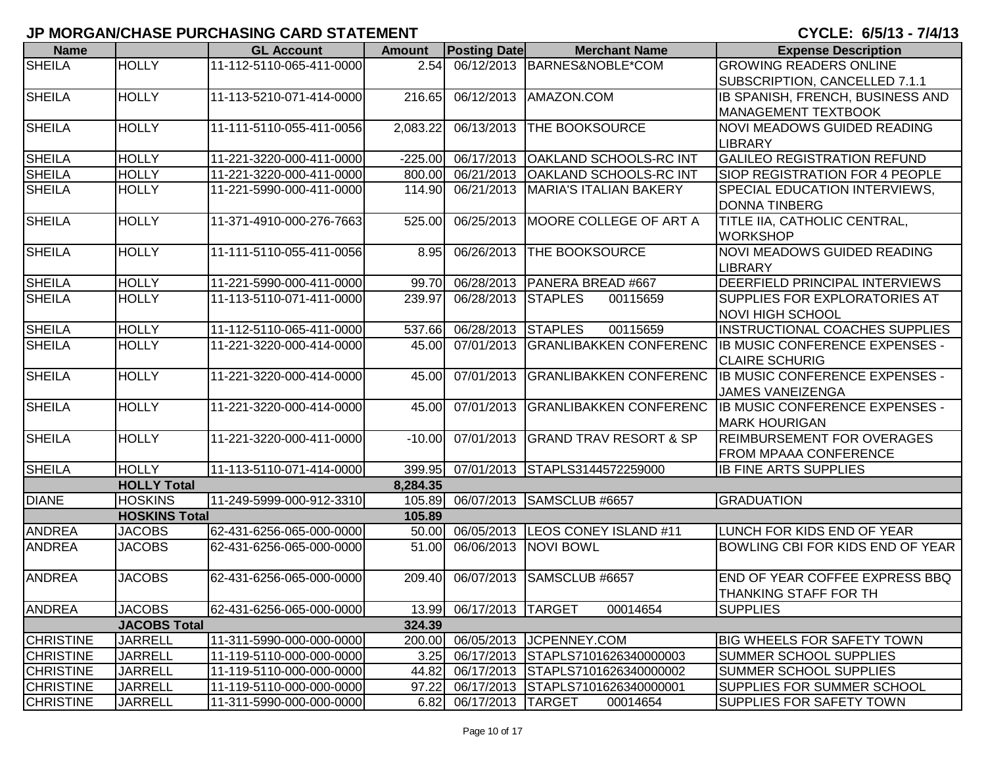| <b>Name</b>                          |                                  | <b>GL Account</b>        | <b>Amount</b>  | <b>Posting Date</b> | <b>Merchant Name</b>                                           | <b>Expense Description</b>                                         |
|--------------------------------------|----------------------------------|--------------------------|----------------|---------------------|----------------------------------------------------------------|--------------------------------------------------------------------|
| <b>SHEILA</b>                        | <b>HOLLY</b>                     | 11-112-5110-065-411-0000 | 2.54           |                     | 06/12/2013 BARNES&NOBLE*COM                                    | <b>GROWING READERS ONLINE</b>                                      |
|                                      |                                  |                          |                |                     |                                                                | SUBSCRIPTION, CANCELLED 7.1.1                                      |
| <b>SHEILA</b>                        | <b>HOLLY</b>                     | 11-113-5210-071-414-0000 | 216.65         |                     | 06/12/2013 AMAZON.COM                                          | IB SPANISH, FRENCH, BUSINESS AND                                   |
|                                      |                                  |                          |                |                     |                                                                | <b>MANAGEMENT TEXTBOOK</b>                                         |
| <b>SHEILA</b>                        | <b>HOLLY</b>                     | 11-111-5110-055-411-0056 | 2,083.22       |                     | 06/13/2013 THE BOOKSOURCE                                      | <b>NOVI MEADOWS GUIDED READING</b>                                 |
|                                      |                                  |                          |                |                     |                                                                | <b>LIBRARY</b>                                                     |
| <b>SHEILA</b>                        | <b>HOLLY</b>                     | 11-221-3220-000-411-0000 | $-225.00$      |                     | 06/17/2013 OAKLAND SCHOOLS-RC INT                              | <b>GALILEO REGISTRATION REFUND</b>                                 |
| <b>SHEILA</b>                        | <b>HOLLY</b>                     | 11-221-3220-000-411-0000 | 800.00         | 06/21/2013          | <b>OAKLAND SCHOOLS-RC INT</b>                                  | <b>SIOP REGISTRATION FOR 4 PEOPLE</b>                              |
| <b>SHEILA</b>                        | <b>HOLLY</b>                     | 11-221-5990-000-411-0000 | 114.90         | 06/21/2013          | <b>MARIA'S ITALIAN BAKERY</b>                                  | SPECIAL EDUCATION INTERVIEWS,                                      |
|                                      |                                  | 11-371-4910-000-276-7663 |                |                     |                                                                | <b>DONNA TINBERG</b>                                               |
| <b>SHEILA</b>                        | <b>HOLLY</b>                     |                          | 525.00         | 06/25/2013          | MOORE COLLEGE OF ART A                                         | TITLE IIA, CATHOLIC CENTRAL,<br><b>WORKSHOP</b>                    |
| <b>SHEILA</b>                        | <b>HOLLY</b>                     | 11-111-5110-055-411-0056 | 8.95           |                     | 06/26/2013 THE BOOKSOURCE                                      | <b>NOVI MEADOWS GUIDED READING</b>                                 |
|                                      |                                  |                          |                |                     |                                                                | <b>LIBRARY</b>                                                     |
| <b>SHEILA</b>                        | <b>HOLLY</b>                     | 11-221-5990-000-411-0000 | 99.70          |                     | 06/28/2013 PANERA BREAD #667                                   | DEERFIELD PRINCIPAL INTERVIEWS                                     |
| <b>SHEILA</b>                        | <b>HOLLY</b>                     | 11-113-5110-071-411-0000 | 239.97         | 06/28/2013 STAPLES  | 00115659                                                       | SUPPLIES FOR EXPLORATORIES AT                                      |
|                                      |                                  |                          |                |                     |                                                                | <b>NOVI HIGH SCHOOL</b>                                            |
| <b>SHEILA</b>                        | <b>HOLLY</b>                     | 11-112-5110-065-411-0000 | 537.66         | 06/28/2013 STAPLES  | 00115659                                                       | <b>INSTRUCTIONAL COACHES SUPPLIES</b>                              |
| <b>SHEILA</b>                        | <b>HOLLY</b>                     | 11-221-3220-000-414-0000 | 45.00          |                     | 07/01/2013 GRANLIBAKKEN CONFERENC                              | IB MUSIC CONFERENCE EXPENSES -                                     |
|                                      |                                  |                          |                |                     |                                                                | <b>CLAIRE SCHURIG</b>                                              |
| <b>SHEILA</b>                        | <b>HOLLY</b>                     | 11-221-3220-000-414-0000 | 45.00          |                     | 07/01/2013 GRANLIBAKKEN CONFERENC                              | IB MUSIC CONFERENCE EXPENSES -                                     |
|                                      |                                  |                          |                |                     |                                                                | JAMES VANEIZENGA                                                   |
| <b>SHEILA</b>                        | <b>HOLLY</b>                     | 11-221-3220-000-414-0000 | 45.00          |                     | 07/01/2013 GRANLIBAKKEN CONFERENC                              | IB MUSIC CONFERENCE EXPENSES -                                     |
|                                      |                                  |                          |                |                     |                                                                | <b>MARK HOURIGAN</b>                                               |
| <b>SHEILA</b>                        | <b>HOLLY</b>                     | 11-221-3220-000-411-0000 | $-10.00$       |                     | 07/01/2013 GRAND TRAV RESORT & SP                              | <b>REIMBURSEMENT FOR OVERAGES</b>                                  |
|                                      |                                  |                          |                |                     |                                                                | <b>FROM MPAAA CONFERENCE</b>                                       |
| <b>SHEILA</b>                        | <b>HOLLY</b>                     | 11-113-5110-071-414-0000 | 399.95         |                     | 07/01/2013 STAPLS3144572259000                                 | <b>IB FINE ARTS SUPPLIES</b>                                       |
|                                      | <b>HOLLY Total</b>               |                          | 8,284.35       |                     |                                                                |                                                                    |
| <b>DIANE</b>                         | <b>HOSKINS</b>                   | 11-249-5999-000-912-3310 | 105.89         |                     | 06/07/2013 SAMSCLUB #6657                                      | <b>GRADUATION</b>                                                  |
|                                      | <b>HOSKINS Total</b>             |                          | 105.89         |                     |                                                                |                                                                    |
| <b>ANDREA</b>                        | <b>JACOBS</b>                    | 62-431-6256-065-000-0000 | 50.00          |                     | 06/05/2013   LEOS CONEY ISLAND #11                             | LUNCH FOR KIDS END OF YEAR                                         |
| <b>ANDREA</b>                        | <b>JACOBS</b>                    | 62-431-6256-065-000-0000 | 51.00          |                     | 06/06/2013 NOVI BOWL                                           | BOWLING CBI FOR KIDS END OF YEAR                                   |
|                                      |                                  |                          |                |                     |                                                                |                                                                    |
| <b>ANDREA</b>                        | <b>JACOBS</b>                    | 62-431-6256-065-000-0000 | 209.40         | 06/07/2013          | SAMSCLUB #6657                                                 | <b>END OF YEAR COFFEE EXPRESS BBQ</b>                              |
|                                      |                                  |                          |                |                     |                                                                | <b>THANKING STAFF FOR TH</b>                                       |
| <b>ANDREA</b>                        | <b>JACOBS</b>                    | 62-431-6256-065-000-0000 | 13.99          | 06/17/2013 TARGET   | 00014654                                                       | <b>SUPPLIES</b>                                                    |
|                                      | <b>JACOBS Total</b>              | 11-311-5990-000-000-0000 | 324.39         |                     |                                                                |                                                                    |
| <b>CHRISTINE</b><br><b>CHRISTINE</b> | <b>JARRELL</b><br><b>JARRELL</b> | 11-119-5110-000-000-0000 | 200.00<br>3.25 |                     | 06/05/2013   JCPENNEY.COM<br>06/17/2013 STAPLS7101626340000003 | <b>BIG WHEELS FOR SAFETY TOWN</b><br><b>SUMMER SCHOOL SUPPLIES</b> |
| <b>CHRISTINE</b>                     | <b>JARRELL</b>                   | 11-119-5110-000-000-0000 | 44.82          |                     | 06/17/2013 STAPLS7101626340000002                              | <b>SUMMER SCHOOL SUPPLIES</b>                                      |
| <b>CHRISTINE</b>                     | <b>JARRELL</b>                   | 11-119-5110-000-000-0000 | 97.22          |                     | 06/17/2013 STAPLS7101626340000001                              | SUPPLIES FOR SUMMER SCHOOL                                         |
| <b>CHRISTINE</b>                     | <b>JARRELL</b>                   | 11-311-5990-000-000-0000 | 6.82           | 06/17/2013 TARGET   | 00014654                                                       | SUPPLIES FOR SAFETY TOWN                                           |
|                                      |                                  |                          |                |                     |                                                                |                                                                    |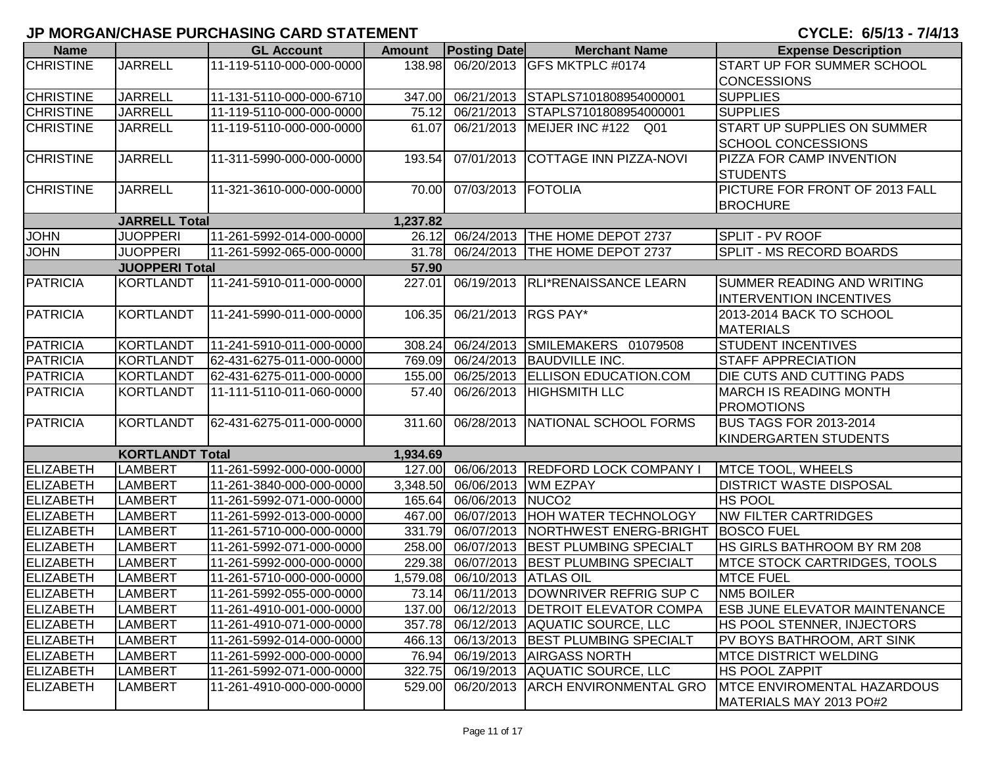| <b>Name</b>      |                        | <b>GL Account</b>          | <b>Amount</b> | <b>Posting Date</b>     | <b>Merchant Name</b>                       | <b>Expense Description</b>           |
|------------------|------------------------|----------------------------|---------------|-------------------------|--------------------------------------------|--------------------------------------|
| <b>CHRISTINE</b> | <b>JARRELL</b>         | 11-119-5110-000-000-0000   | 138.98        |                         | 06/20/2013 GFS MKTPLC #0174                | <b>START UP FOR SUMMER SCHOOL</b>    |
|                  |                        |                            |               |                         |                                            | <b>CONCESSIONS</b>                   |
| <b>CHRISTINE</b> | <b>JARRELL</b>         | 11-131-5110-000-000-6710   | 347.00        |                         | 06/21/2013 STAPLS7101808954000001          | <b>SUPPLIES</b>                      |
| <b>CHRISTINE</b> | <b>JARRELL</b>         | 11-119-5110-000-000-0000   | 75.12         |                         | 06/21/2013 STAPLS7101808954000001          | <b>SUPPLIES</b>                      |
| <b>CHRISTINE</b> | <b>JARRELL</b>         | 11-119-5110-000-000-0000   | 61.07         |                         | 06/21/2013 MEIJER INC #122 Q01             | <b>START UP SUPPLIES ON SUMMER</b>   |
|                  |                        |                            |               |                         |                                            | <b>SCHOOL CONCESSIONS</b>            |
| <b>CHRISTINE</b> | <b>JARRELL</b>         | 11-311-5990-000-000-0000   | 193.54        |                         | 07/01/2013 COTTAGE INN PIZZA-NOVI          | <b>PIZZA FOR CAMP INVENTION</b>      |
|                  |                        |                            |               |                         |                                            | <b>STUDENTS</b>                      |
| <b>CHRISTINE</b> | <b>JARRELL</b>         | 11-321-3610-000-000-0000   | 70.00         | 07/03/2013   FOTOLIA    |                                            | PICTURE FOR FRONT OF 2013 FALL       |
|                  |                        |                            |               |                         |                                            | <b>BROCHURE</b>                      |
|                  | <b>JARRELL Total</b>   |                            | 1,237.82      |                         |                                            |                                      |
| <b>JOHN</b>      | <b>JUOPPERI</b>        | 11-261-5992-014-000-0000   |               |                         | 26.12 06/24/2013   THE HOME DEPOT 2737     | SPLIT - PV ROOF                      |
| <b>JOHN</b>      | <b>JUOPPERI</b>        | 11-261-5992-065-000-0000   | 31.78         |                         | 06/24/2013   THE HOME DEPOT 2737           | SPLIT - MS RECORD BOARDS             |
|                  | <b>JUOPPERI Total</b>  |                            | 57.90         |                         |                                            |                                      |
| <b>PATRICIA</b>  | KORTLANDT              | 11-241-5910-011-000-0000   | 227.01        |                         | 06/19/2013   RLI*RENAISSANCE LEARN         | <b>SUMMER READING AND WRITING</b>    |
|                  |                        |                            |               |                         |                                            | <b>INTERVENTION INCENTIVES</b>       |
| <b>PATRICIA</b>  | KORTLANDT              | 11-241-5990-011-000-0000   | 106.35        | 06/21/2013 RGS PAY*     |                                            | 2013-2014 BACK TO SCHOOL             |
|                  |                        |                            |               |                         |                                            | <b>MATERIALS</b>                     |
| <b>PATRICIA</b>  | <b>KORTLANDT</b>       | 11-241-5910-011-000-0000   | 308.24        |                         | 06/24/2013 SMILEMAKERS 01079508            | <b>STUDENT INCENTIVES</b>            |
| <b>PATRICIA</b>  | KORTLANDT              | 62-431-6275-011-000-0000   |               |                         | 769.09 06/24/2013 BAUDVILLE INC.           | <b>STAFF APPRECIATION</b>            |
| <b>PATRICIA</b>  | <b>KORTLANDT</b>       | 62-431-6275-011-000-0000   |               |                         | 155.00 06/25/2013 ELLISON EDUCATION.COM    | DIE CUTS AND CUTTING PADS            |
| <b>PATRICIA</b>  | <b>KORTLANDT</b>       | 11-111-5110-011-060-0000   | 57.40         |                         | 06/26/2013   HIGHSMITH LLC                 | <b>MARCH IS READING MONTH</b>        |
|                  |                        |                            |               |                         |                                            | <b>PROMOTIONS</b>                    |
| <b>PATRICIA</b>  | KORTLANDT              | 62-431-6275-011-000-0000   | 311.60        |                         | 06/28/2013 NATIONAL SCHOOL FORMS           | <b>BUS TAGS FOR 2013-2014</b>        |
|                  |                        |                            |               |                         |                                            | KINDERGARTEN STUDENTS                |
|                  | <b>KORTLANDT Total</b> |                            | 1,934.69      |                         |                                            |                                      |
| ELIZABETH        | <b>LAMBERT</b>         | 11-261-5992-000-000-0000   |               |                         | 127.00 06/06/2013 REDFORD LOCK COMPANY I   | <b>MTCE TOOL, WHEELS</b>             |
| <b>ELIZABETH</b> | <b>LAMBERT</b>         | 11-261-3840-000-000-0000   | 3,348.50      |                         | 06/06/2013 WM EZPAY                        | <b>DISTRICT WASTE DISPOSAL</b>       |
| ELIZABETH        | <b>LAMBERT</b>         | 11-261-5992-071-000-0000   |               | 165.64 06/06/2013 NUCO2 |                                            | <b>HS POOL</b>                       |
| ELIZABETH        | <b>LAMBERT</b>         | 11-261-5992-013-000-0000   | 467.00        |                         | 06/07/2013 HOH WATER TECHNOLOGY            | <b>NW FILTER CARTRIDGES</b>          |
| <b>ELIZABETH</b> | <b>LAMBERT</b>         | 11-261-5710-000-000-0000   | 331.79        |                         | 06/07/2013 NORTHWEST ENERG-BRIGHT          | <b>BOSCO FUEL</b>                    |
| <b>ELIZABETH</b> | <b>LAMBERT</b>         | 11-261-5992-071-000-0000   | 258.00        |                         | 06/07/2013 BEST PLUMBING SPECIALT          | HS GIRLS BATHROOM BY RM 208          |
| <b>ELIZABETH</b> | <b>LAMBERT</b>         | 11-261-5992-000-000-0000   |               |                         | 229.38 06/07/2013   BEST PLUMBING SPECIALT | <b>MTCE STOCK CARTRIDGES, TOOLS</b>  |
| <b>ELIZABETH</b> | <b>LAMBERT</b>         | 11-261-5710-000-000-0000   | 1,579.08      | 06/10/2013 ATLAS OIL    |                                            | <b>MTCE FUEL</b>                     |
| ELIZABETH        | <b>LAMBERT</b>         | 11-261-5992-055-000-0000   |               |                         | 73.14 06/11/2013 DOWNRIVER REFRIG SUP C    | <b>NM5 BOILER</b>                    |
| ELIZABETH        | <b>LAMBERT</b>         | [11-261-4910-001-000-0000] |               |                         | 137.00 06/12/2013 DETROIT ELEVATOR COMPA   | <b>ESB JUNE ELEVATOR MAINTENANCE</b> |
| <b>ELIZABETH</b> | <b>LAMBERT</b>         | 11-261-4910-071-000-0000   |               |                         | 357.78 06/12/2013 AQUATIC SOURCE, LLC      | HS POOL STENNER, INJECTORS           |
| <b>ELIZABETH</b> | <b>LAMBERT</b>         | 11-261-5992-014-000-0000   |               |                         | 466.13 06/13/2013 BEST PLUMBING SPECIALT   | PV BOYS BATHROOM, ART SINK           |
| <b>ELIZABETH</b> | <b>LAMBERT</b>         | 11-261-5992-000-000-0000   |               |                         | 76.94 06/19/2013 AIRGASS NORTH             | <b>IMTCE DISTRICT WELDING</b>        |
| ELIZABETH        | <b>LAMBERT</b>         | 11-261-5992-071-000-0000   | 322.75        |                         | 06/19/2013 AQUATIC SOURCE, LLC             | HS POOL ZAPPIT                       |
| <b>ELIZABETH</b> | <b>LAMBERT</b>         | 11-261-4910-000-000-0000   | 529.00        |                         | 06/20/2013 ARCH ENVIRONMENTAL GRO          | <b>MTCE ENVIROMENTAL HAZARDOUS</b>   |
|                  |                        |                            |               |                         |                                            | MATERIALS MAY 2013 PO#2              |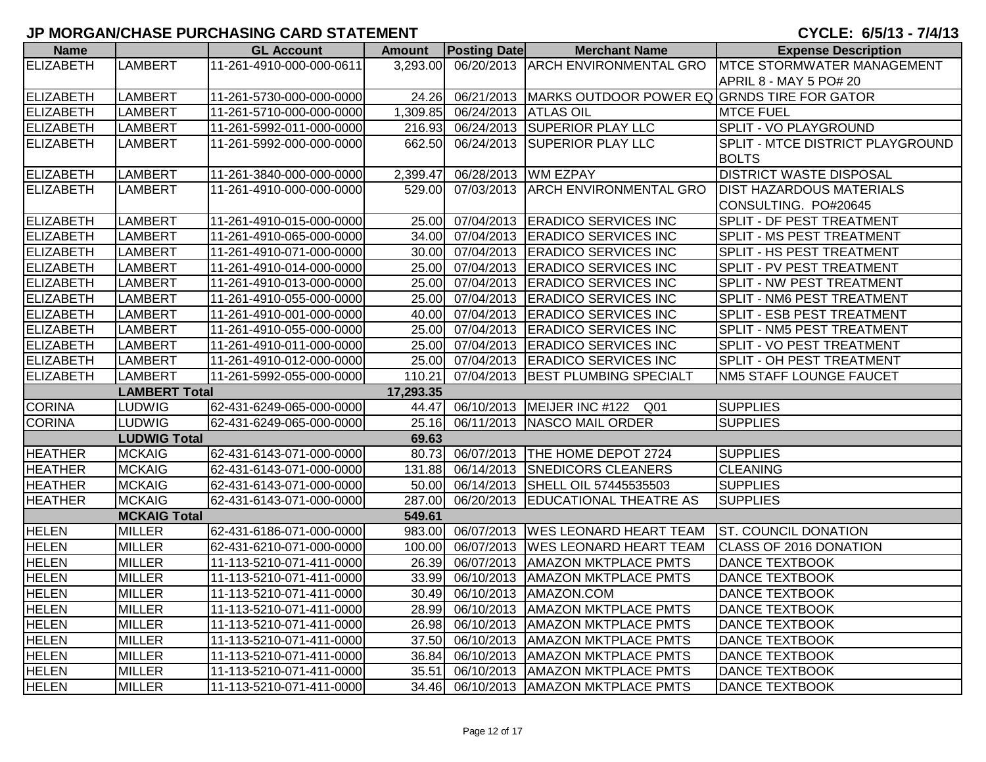| <b>Name</b>      |                      | <b>GL Account</b>        | <b>Amount</b> | <b>Posting Date</b>  | <b>Merchant Name</b>                                     | <b>Expense Description</b>              |
|------------------|----------------------|--------------------------|---------------|----------------------|----------------------------------------------------------|-----------------------------------------|
| ELIZABETH        | <b>LAMBERT</b>       | 11-261-4910-000-000-0611 | 3,293.00      |                      | 06/20/2013 ARCH ENVIRONMENTAL GRO                        | <b>MTCE STORMWATER MANAGEMENT</b>       |
|                  |                      |                          |               |                      |                                                          | APRIL 8 - MAY 5 PO# 20                  |
| ELIZABETH        | <b>LAMBERT</b>       | 11-261-5730-000-000-0000 | 24.26         |                      | 06/21/2013   MARKS OUTDOOR POWER EQ GRNDS TIRE FOR GATOR |                                         |
| ELIZABETH        | <b>LAMBERT</b>       | 11-261-5710-000-000-0000 | 1,309.85      | 06/24/2013 ATLAS OIL |                                                          | <b>MTCE FUEL</b>                        |
| ELIZABETH        | <b>LAMBERT</b>       | 11-261-5992-011-000-0000 | 216.93        |                      | 06/24/2013 SUPERIOR PLAY LLC                             | <b>SPLIT - VO PLAYGROUND</b>            |
| ELIZABETH        | <b>LAMBERT</b>       | 11-261-5992-000-000-0000 | 662.50        |                      | 06/24/2013 SUPERIOR PLAY LLC                             | <b>SPLIT - MTCE DISTRICT PLAYGROUND</b> |
|                  |                      |                          |               |                      |                                                          | <b>BOLTS</b>                            |
| ELIZABETH        | <b>LAMBERT</b>       | 11-261-3840-000-000-0000 | 2,399.47      | 06/28/2013           | <b>WM EZPAY</b>                                          | <b>DISTRICT WASTE DISPOSAL</b>          |
| ELIZABETH        | <b>LAMBERT</b>       | 11-261-4910-000-000-0000 | 529.00        |                      | 07/03/2013 ARCH ENVIRONMENTAL GRO                        | <b>DIST HAZARDOUS MATERIALS</b>         |
|                  |                      |                          |               |                      |                                                          | CONSULTING. PO#20645                    |
| ELIZABETH        | <b>LAMBERT</b>       | 11-261-4910-015-000-0000 | 25.00         |                      | 07/04/2013 ERADICO SERVICES INC                          | <b>SPLIT - DF PEST TREATMENT</b>        |
| ELIZABETH        | <b>LAMBERT</b>       | 11-261-4910-065-000-0000 | 34.00         |                      | 07/04/2013 ERADICO SERVICES INC                          | <b>SPLIT - MS PEST TREATMENT</b>        |
| <b>ELIZABETH</b> | <b>LAMBERT</b>       | 11-261-4910-071-000-0000 | 30.00         |                      | 07/04/2013 ERADICO SERVICES INC                          | <b>SPLIT - HS PEST TREATMENT</b>        |
| <b>ELIZABETH</b> | <b>LAMBERT</b>       | 11-261-4910-014-000-0000 | 25.00         |                      | 07/04/2013 ERADICO SERVICES INC                          | <b>SPLIT - PV PEST TREATMENT</b>        |
| ELIZABETH        | <b>LAMBERT</b>       | 11-261-4910-013-000-0000 | 25.00         |                      | 07/04/2013 ERADICO SERVICES INC                          | SPLIT - NW PEST TREATMENT               |
| <b>ELIZABETH</b> | <b>LAMBERT</b>       | 11-261-4910-055-000-0000 | 25.00         |                      | 07/04/2013 ERADICO SERVICES INC                          | SPLIT - NM6 PEST TREATMENT              |
| <b>ELIZABETH</b> | <b>LAMBERT</b>       | 11-261-4910-001-000-0000 | 40.00         |                      | 07/04/2013 ERADICO SERVICES INC                          | SPLIT - ESB PEST TREATMENT              |
| <b>ELIZABETH</b> | <b>LAMBERT</b>       | 11-261-4910-055-000-0000 | 25.00         |                      | 07/04/2013 ERADICO SERVICES INC                          | <b>SPLIT - NM5 PEST TREATMENT</b>       |
| ELIZABETH        | <b>LAMBERT</b>       | 11-261-4910-011-000-0000 | 25.00         |                      | 07/04/2013 ERADICO SERVICES INC                          | <b>SPLIT - VO PEST TREATMENT</b>        |
| <b>ELIZABETH</b> | <b>LAMBERT</b>       | 11-261-4910-012-000-0000 | 25.00         |                      | 07/04/2013 ERADICO SERVICES INC                          | <b>SPLIT - OH PEST TREATMENT</b>        |
| ELIZABETH        | <b>LAMBERT</b>       | 11-261-5992-055-000-0000 | 110.21        |                      | 07/04/2013 BEST PLUMBING SPECIALT                        | <b>NM5 STAFF LOUNGE FAUCET</b>          |
|                  | <b>LAMBERT Total</b> |                          | 17,293.35     |                      |                                                          |                                         |
| <b>CORINA</b>    | LUDWIG               | 62-431-6249-065-000-0000 | 44.47         |                      | 06/10/2013   MEIJER INC #122<br>Q <sub>01</sub>          | <b>SUPPLIES</b>                         |
| <b>CORINA</b>    | <b>LUDWIG</b>        | 62-431-6249-065-000-0000 | 25.16         |                      | 06/11/2013 NASCO MAIL ORDER                              | <b>SUPPLIES</b>                         |
|                  | <b>LUDWIG Total</b>  |                          | 69.63         |                      |                                                          |                                         |
| <b>HEATHER</b>   | <b>MCKAIG</b>        | 62-431-6143-071-000-0000 | 80.73         |                      | 06/07/2013   THE HOME DEPOT 2724                         | <b>SUPPLIES</b>                         |
| <b>HEATHER</b>   | <b>MCKAIG</b>        | 62-431-6143-071-000-0000 | 131.88        |                      | 06/14/2013 SNEDICORS CLEANERS                            | <b>CLEANING</b>                         |
| <b>HEATHER</b>   | <b>MCKAIG</b>        | 62-431-6143-071-000-0000 | 50.00         |                      | 06/14/2013 SHELL OIL 57445535503                         | <b>SUPPLIES</b>                         |
| <b>HEATHER</b>   | <b>MCKAIG</b>        | 62-431-6143-071-000-0000 | 287.00        |                      | 06/20/2013 EDUCATIONAL THEATRE AS                        | <b>SUPPLIES</b>                         |
|                  | <b>MCKAIG Total</b>  |                          | 549.61        |                      |                                                          |                                         |
| <b>HELEN</b>     | <b>MILLER</b>        | 62-431-6186-071-000-0000 | 983.00        |                      | 06/07/2013   WES LEONARD HEART TEAM                      | <b>ST. COUNCIL DONATION</b>             |
| <b>HELEN</b>     | <b>MILLER</b>        | 62-431-6210-071-000-0000 | 100.00        |                      | 06/07/2013   WES LEONARD HEART TEAM                      | <b>CLASS OF 2016 DONATION</b>           |
| <b>HELEN</b>     | <b>MILLER</b>        | 11-113-5210-071-411-0000 | 26.39         | 06/07/2013           | <b>AMAZON MKTPLACE PMTS</b>                              | <b>DANCE TEXTBOOK</b>                   |
| <b>HELEN</b>     | <b>MILLER</b>        | 11-113-5210-071-411-0000 | 33.99         | 06/10/2013           | <b>AMAZON MKTPLACE PMTS</b>                              | <b>DANCE TEXTBOOK</b>                   |
| <b>HELEN</b>     | <b>MILLER</b>        | 11-113-5210-071-411-0000 |               |                      | 30.49 06/10/2013 AMAZON.COM                              | <b>DANCE TEXTBOOK</b>                   |
| <b>HELEN</b>     | <b>MILLER</b>        | 11-113-5210-071-411-0000 |               |                      | 28.99 06/10/2013   AMAZON MKTPLACE PMTS                  | <b>DANCE TEXTBOOK</b>                   |
| <b>HELEN</b>     | <b>MILLER</b>        | 11-113-5210-071-411-0000 |               |                      | 26.98 06/10/2013   AMAZON MKTPLACE PMTS                  | <b>DANCE TEXTBOOK</b>                   |
| <b>HELEN</b>     | <b>MILLER</b>        | 11-113-5210-071-411-0000 |               |                      | 37.50 06/10/2013 AMAZON MKTPLACE PMTS                    | <b>DANCE TEXTBOOK</b>                   |
| <b>HELEN</b>     | <b>MILLER</b>        | 11-113-5210-071-411-0000 | 36.84         |                      | 06/10/2013   AMAZON MKTPLACE PMTS                        | <b>DANCE TEXTBOOK</b>                   |
| <b>HELEN</b>     | <b>MILLER</b>        | 11-113-5210-071-411-0000 | 35.51         |                      | 06/10/2013   AMAZON MKTPLACE PMTS                        | <b>DANCE TEXTBOOK</b>                   |
| <b>HELEN</b>     | <b>MILLER</b>        | 11-113-5210-071-411-0000 |               |                      | 34.46 06/10/2013 AMAZON MKTPLACE PMTS                    | <b>DANCE TEXTBOOK</b>                   |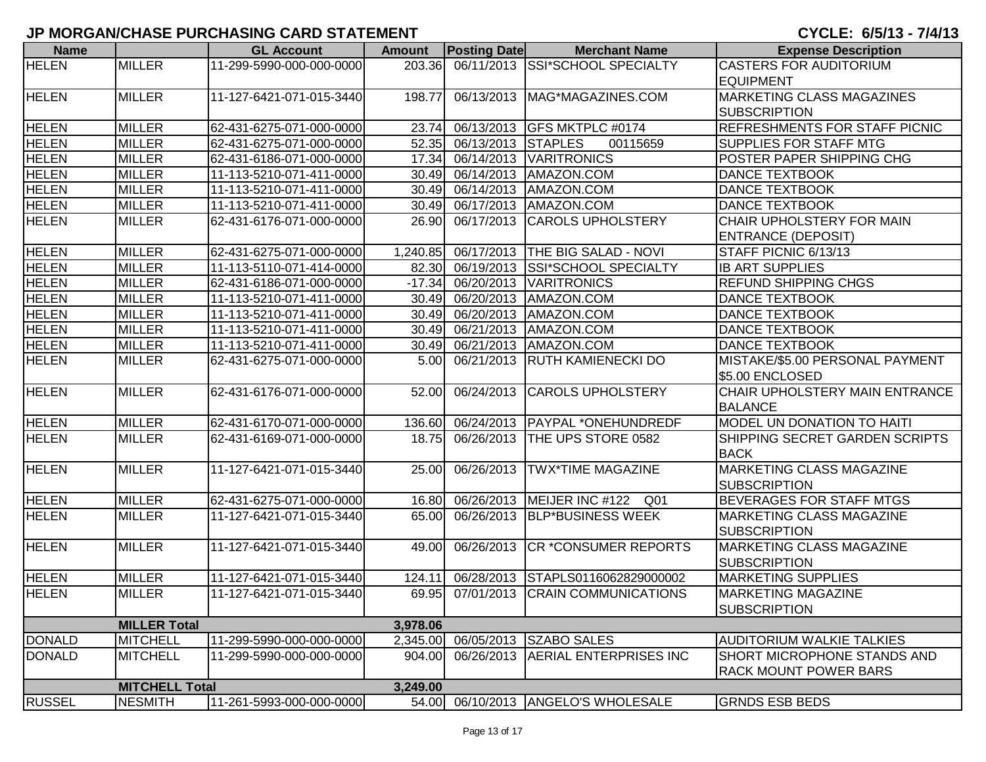| <b>Name</b>   |                       | <b>GL Account</b>        | <b>Amount</b> | <b>Posting Date</b> | <b>Merchant Name</b>                   | <b>Expense Description</b>         |
|---------------|-----------------------|--------------------------|---------------|---------------------|----------------------------------------|------------------------------------|
| <b>HELEN</b>  | <b>MILLER</b>         | 11-299-5990-000-000-0000 |               |                     | 203.36 06/11/2013 SSI*SCHOOL SPECIALTY | <b>CASTERS FOR AUDITORIUM</b>      |
|               |                       |                          |               |                     |                                        | <b>EQUIPMENT</b>                   |
| <b>HELEN</b>  | <b>MILLER</b>         | 11-127-6421-071-015-3440 | 198.77        |                     | 06/13/2013   MAG*MAGAZINES.COM         | <b>MARKETING CLASS MAGAZINES</b>   |
|               |                       |                          |               |                     |                                        | <b>SUBSCRIPTION</b>                |
| <b>HELEN</b>  | <b>MILLER</b>         | 62-431-6275-071-000-0000 | 23.74         |                     | 06/13/2013 GFS MKTPLC #0174            | REFRESHMENTS FOR STAFF PICNIC      |
| <b>HELEN</b>  | <b>MILLER</b>         | 62-431-6275-071-000-0000 | 52.35         | 06/13/2013 STAPLES  | 00115659                               | SUPPLIES FOR STAFF MTG             |
| <b>HELEN</b>  | <b>MILLER</b>         | 62-431-6186-071-000-0000 | 17.34         |                     | 06/14/2013 VARITRONICS                 | POSTER PAPER SHIPPING CHG          |
| <b>HELEN</b>  | <b>MILLER</b>         | 11-113-5210-071-411-0000 | 30.49         | 06/14/2013          | AMAZON.COM                             | <b>DANCE TEXTBOOK</b>              |
| <b>HELEN</b>  | <b>MILLER</b>         | 11-113-5210-071-411-0000 | 30.49         | 06/14/2013          | AMAZON.COM                             | DANCE TEXTBOOK                     |
| <b>HELEN</b>  | <b>MILLER</b>         | 11-113-5210-071-411-0000 | 30.49         |                     | 06/17/2013   AMAZON.COM                | DANCE TEXTBOOK                     |
| <b>HELEN</b>  | <b>MILLER</b>         | 62-431-6176-071-000-0000 | 26.90         |                     | 06/17/2013 CAROLS UPHOLSTERY           | CHAIR UPHOLSTERY FOR MAIN          |
|               |                       |                          |               |                     |                                        | <b>ENTRANCE (DEPOSIT)</b>          |
| <b>HELEN</b>  | <b>MILLER</b>         | 62-431-6275-071-000-0000 | 1,240.85      |                     | 06/17/2013 THE BIG SALAD - NOVI        | STAFF PICNIC 6/13/13               |
| <b>HELEN</b>  | <b>MILLER</b>         | 11-113-5110-071-414-0000 | 82.30         |                     | 06/19/2013 SSI*SCHOOL SPECIALTY        | <b>IB ART SUPPLIES</b>             |
| <b>HELEN</b>  | <b>MILLER</b>         | 62-431-6186-071-000-0000 | $-17.34$      |                     | 06/20/2013 VARITRONICS                 | <b>REFUND SHIPPING CHGS</b>        |
| <b>HELEN</b>  | <b>MILLER</b>         | 11-113-5210-071-411-0000 | 30.49         |                     | 06/20/2013 AMAZON.COM                  | <b>DANCE TEXTBOOK</b>              |
| <b>HELEN</b>  | <b>MILLER</b>         | 11-113-5210-071-411-0000 | 30.49         |                     | 06/20/2013 AMAZON.COM                  | <b>DANCE TEXTBOOK</b>              |
| <b>HELEN</b>  | <b>MILLER</b>         | 11-113-5210-071-411-0000 | 30.49         |                     | 06/21/2013 AMAZON.COM                  | <b>DANCE TEXTBOOK</b>              |
| <b>HELEN</b>  | <b>MILLER</b>         | 11-113-5210-071-411-0000 | 30.49         |                     | 06/21/2013 AMAZON.COM                  | <b>DANCE TEXTBOOK</b>              |
| <b>HELEN</b>  | <b>MILLER</b>         | 62-431-6275-071-000-0000 | 5.00          |                     | 06/21/2013 RUTH KAMIENECKI DO          | MISTAKE/\$5.00 PERSONAL PAYMENT    |
|               |                       |                          |               |                     |                                        | \$5.00 ENCLOSED                    |
| <b>HELEN</b>  | <b>MILLER</b>         | 62-431-6176-071-000-0000 | 52.00         |                     | 06/24/2013 CAROLS UPHOLSTERY           | CHAIR UPHOLSTERY MAIN ENTRANCE     |
|               |                       |                          |               |                     |                                        | <b>BALANCE</b>                     |
| <b>HELEN</b>  | <b>MILLER</b>         | 62-431-6170-071-000-0000 | 136.60        |                     | 06/24/2013   PAYPAL *ONEHUNDREDF       | MODEL UN DONATION TO HAITI         |
| <b>HELEN</b>  | <b>MILLER</b>         | 62-431-6169-071-000-0000 | 18.75         |                     | 06/26/2013   THE UPS STORE 0582        | SHIPPING SECRET GARDEN SCRIPTS     |
|               |                       |                          |               |                     |                                        | <b>BACK</b>                        |
| <b>HELEN</b>  | <b>MILLER</b>         | 11-127-6421-071-015-3440 | 25.00         |                     | 06/26/2013   TWX*TIME MAGAZINE         | <b>MARKETING CLASS MAGAZINE</b>    |
|               |                       |                          |               |                     |                                        | <b>SUBSCRIPTION</b>                |
| <b>HELEN</b>  | <b>MILLER</b>         | 62-431-6275-071-000-0000 | 16.80         |                     | 06/26/2013 MEIJER INC #122 Q01         | <b>BEVERAGES FOR STAFF MTGS</b>    |
| <b>HELEN</b>  | <b>MILLER</b>         | 11-127-6421-071-015-3440 | 65.00         |                     | 06/26/2013   BLP*BUSINESS WEEK         | <b>MARKETING CLASS MAGAZINE</b>    |
|               |                       |                          |               |                     |                                        | <b>SUBSCRIPTION</b>                |
| <b>HELEN</b>  | <b>MILLER</b>         | 11-127-6421-071-015-3440 | 49.00         |                     | 06/26/2013 CR *CONSUMER REPORTS        | <b>MARKETING CLASS MAGAZINE</b>    |
|               |                       |                          |               |                     |                                        | <b>SUBSCRIPTION</b>                |
| <b>HELEN</b>  | <b>MILLER</b>         | 11-127-6421-071-015-3440 | 124.11        |                     | 06/28/2013 STAPLS0116062829000002      | <b>MARKETING SUPPLIES</b>          |
| <b>HELEN</b>  | <b>MILLER</b>         | 11-127-6421-071-015-3440 |               |                     | 69.95 07/01/2013 CRAIN COMMUNICATIONS  | <b>MARKETING MAGAZINE</b>          |
|               |                       |                          |               |                     |                                        | <b>SUBSCRIPTION</b>                |
|               | <b>MILLER Total</b>   |                          | 3,978.06      |                     |                                        |                                    |
| <b>DONALD</b> | <b>MITCHELL</b>       | 11-299-5990-000-000-0000 | 2,345.00      |                     | 06/05/2013 SZABO SALES                 | <b>AUDITORIUM WALKIE TALKIES</b>   |
| <b>DONALD</b> | <b>MITCHELL</b>       | 11-299-5990-000-000-0000 | 904.00        |                     | 06/26/2013 AERIAL ENTERPRISES INC      | <b>SHORT MICROPHONE STANDS AND</b> |
|               |                       |                          |               |                     |                                        | <b>RACK MOUNT POWER BARS</b>       |
|               | <b>MITCHELL Total</b> |                          | 3,249.00      |                     |                                        |                                    |
| <b>RUSSEL</b> | <b>NESMITH</b>        | 11-261-5993-000-000-0000 | 54.00         |                     | 06/10/2013 ANGELO'S WHOLESALE          | <b>GRNDS ESB BEDS</b>              |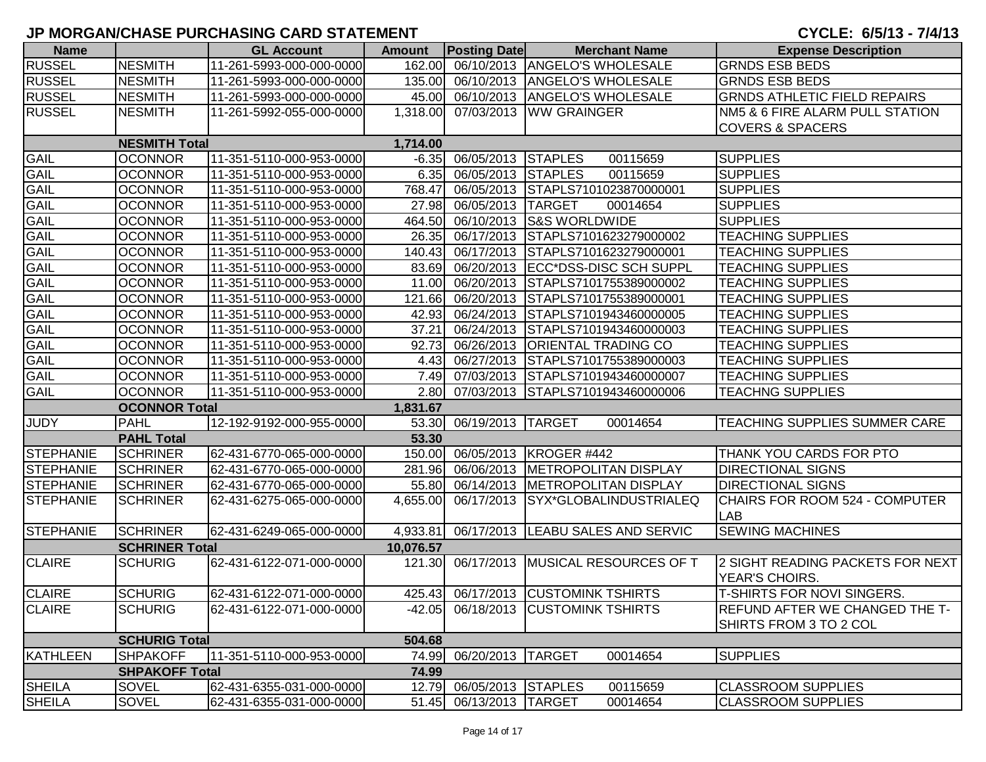| <b>Name</b>      |                       | <b>GL Account</b>        | <b>Amount</b> | <b>Posting Date</b>      | <b>Merchant Name</b>                     | <b>Expense Description</b>                   |
|------------------|-----------------------|--------------------------|---------------|--------------------------|------------------------------------------|----------------------------------------------|
| <b>RUSSEL</b>    | <b>NESMITH</b>        | 11-261-5993-000-000-0000 | 162.00        |                          | 06/10/2013 ANGELO'S WHOLESALE            | <b>GRNDS ESB BEDS</b>                        |
| <b>RUSSEL</b>    | <b>NESMITH</b>        | 11-261-5993-000-000-0000 |               |                          | 135.00 06/10/2013 ANGELO'S WHOLESALE     | <b>GRNDS ESB BEDS</b>                        |
| <b>RUSSEL</b>    | <b>NESMITH</b>        | 11-261-5993-000-000-0000 |               |                          | 45.00 06/10/2013 ANGELO'S WHOLESALE      | <b>GRNDS ATHLETIC FIELD REPAIRS</b>          |
| <b>RUSSEL</b>    | <b>NESMITH</b>        | 11-261-5992-055-000-0000 |               |                          | 1,318.00 07/03/2013 WW GRAINGER          | NM5 & 6 FIRE ALARM PULL STATION              |
|                  |                       |                          |               |                          |                                          | <b>COVERS &amp; SPACERS</b>                  |
|                  | <b>NESMITH Total</b>  |                          | 1,714.00      |                          |                                          |                                              |
| GAIL             | <b>OCONNOR</b>        | 11-351-5110-000-953-0000 |               | -6.35 06/05/2013 STAPLES | 00115659                                 | <b>SUPPLIES</b>                              |
| <b>GAIL</b>      | <b>OCONNOR</b>        | 11-351-5110-000-953-0000 | 6.35          | 06/05/2013 STAPLES       | 00115659                                 | <b>SUPPLIES</b>                              |
| <b>GAIL</b>      | <b>OCONNOR</b>        | 11-351-5110-000-953-0000 | 768.47        |                          | 06/05/2013 STAPLS7101023870000001        | <b>SUPPLIES</b>                              |
| GAIL             | <b>OCONNOR</b>        | 11-351-5110-000-953-0000 | 27.98         | 06/05/2013 TARGET        | 00014654                                 | <b>SUPPLIES</b>                              |
| <b>GAIL</b>      | <b>OCONNOR</b>        | 11-351-5110-000-953-0000 | 464.50        |                          | 06/10/2013 S&S WORLDWIDE                 | <b>SUPPLIES</b>                              |
| <b>GAIL</b>      | <b>OCONNOR</b>        | 11-351-5110-000-953-0000 | 26.35         |                          | 06/17/2013 STAPLS7101623279000002        | <b>TEACHING SUPPLIES</b>                     |
| <b>GAIL</b>      | <b>OCONNOR</b>        | 11-351-5110-000-953-0000 |               |                          | 140.43 06/17/2013 STAPLS7101623279000001 | <b>TEACHING SUPPLIES</b>                     |
| <b>GAIL</b>      | <b>OCONNOR</b>        | 11-351-5110-000-953-0000 |               |                          | 83.69 06/20/2013 ECC*DSS-DISC SCH SUPPL  | <b>TEACHING SUPPLIES</b>                     |
| <b>GAIL</b>      | <b>OCONNOR</b>        | 11-351-5110-000-953-0000 | 11.00         |                          | 06/20/2013 STAPLS7101755389000002        | <b>TEACHING SUPPLIES</b>                     |
| <b>GAIL</b>      | <b>OCONNOR</b>        | 11-351-5110-000-953-0000 |               |                          | 121.66 06/20/2013 STAPLS7101755389000001 | <b>TEACHING SUPPLIES</b>                     |
| <b>GAIL</b>      | <b>OCONNOR</b>        | 11-351-5110-000-953-0000 |               |                          | 42.93 06/24/2013 STAPLS7101943460000005  | <b>TEACHING SUPPLIES</b>                     |
| <b>GAIL</b>      | <b>OCONNOR</b>        | 11-351-5110-000-953-0000 | 37.21         |                          | 06/24/2013 STAPLS7101943460000003        | <b>TEACHING SUPPLIES</b>                     |
| <b>GAIL</b>      | <b>OCONNOR</b>        | 11-351-5110-000-953-0000 | 92.73         |                          | 06/26/2013 ORIENTAL TRADING CO           | <b>TEACHING SUPPLIES</b>                     |
| GAIL             | <b>OCONNOR</b>        | 11-351-5110-000-953-0000 |               |                          | 4.43 06/27/2013 STAPLS7101755389000003   | <b>TEACHING SUPPLIES</b>                     |
| <b>GAIL</b>      | <b>OCONNOR</b>        | 11-351-5110-000-953-0000 | 7.49          |                          | 07/03/2013 STAPLS7101943460000007        | <b>TEACHING SUPPLIES</b>                     |
| <b>GAIL</b>      | <b>OCONNOR</b>        | 11-351-5110-000-953-0000 | 2.80          |                          | 07/03/2013 STAPLS7101943460000006        | <b>TEACHNG SUPPLIES</b>                      |
|                  | <b>OCONNOR Total</b>  |                          | 1,831.67      |                          |                                          |                                              |
| <b>JUDY</b>      | <b>PAHL</b>           | 12-192-9192-000-955-0000 |               | 53.30 06/19/2013 TARGET  | 00014654                                 | <b>TEACHING SUPPLIES SUMMER CARE</b>         |
|                  | <b>PAHL Total</b>     |                          | 53.30         |                          |                                          |                                              |
| <b>STEPHANIE</b> | <b>SCHRINER</b>       | 62-431-6770-065-000-0000 |               |                          | 150.00 06/05/2013 KROGER #442            | THANK YOU CARDS FOR PTO                      |
| <b>STEPHANIE</b> | <b>SCHRINER</b>       | 62-431-6770-065-000-0000 | 281.96        |                          | 06/06/2013   METROPOLITAN DISPLAY        | <b>DIRECTIONAL SIGNS</b>                     |
| STEPHANIE        | <b>SCHRINER</b>       | 62-431-6770-065-000-0000 | 55.80         |                          | 06/14/2013   METROPOLITAN DISPLAY        | <b>DIRECTIONAL SIGNS</b>                     |
| <b>STEPHANIE</b> | <b>SCHRINER</b>       | 62-431-6275-065-000-0000 | 4,655.00      |                          | 06/17/2013 SYX*GLOBALINDUSTRIALEQ        | <b>CHAIRS FOR ROOM 524 - COMPUTER</b><br>LAB |
| STEPHANIE        | <b>SCHRINER</b>       | 62-431-6249-065-000-0000 | 4,933.81      |                          | 06/17/2013  LEABU SALES AND SERVIC       | <b>SEWING MACHINES</b>                       |
|                  | <b>SCHRINER Total</b> |                          | 10,076.57     |                          |                                          |                                              |
| <b>CLAIRE</b>    | <b>SCHURIG</b>        | 62-431-6122-071-000-0000 | 121.30        |                          | 06/17/2013 MUSICAL RESOURCES OF T        | 2 SIGHT READING PACKETS FOR NEXT             |
|                  |                       |                          |               |                          |                                          | YEAR'S CHOIRS.                               |
| <b>CLAIRE</b>    | <b>SCHURIG</b>        | 62-431-6122-071-000-0000 |               |                          | 425.43 06/17/2013 CUSTOMINK TSHIRTS      | T-SHIRTS FOR NOVI SINGERS.                   |
| <b>CLAIRE</b>    | <b>SCHURIG</b>        | 62-431-6122-071-000-0000 |               |                          | -42.05 06/18/2013 CUSTOMINK TSHIRTS      | REFUND AFTER WE CHANGED THE T-               |
|                  |                       |                          |               |                          |                                          | SHIRTS FROM 3 TO 2 COL                       |
|                  | <b>SCHURIG Total</b>  |                          | 504.68        |                          |                                          |                                              |
| KATHLEEN         | <b>SHPAKOFF</b>       | 11-351-5110-000-953-0000 |               | 74.99 06/20/2013 TARGET  | 00014654                                 | <b>SUPPLIES</b>                              |
|                  | <b>SHPAKOFF Total</b> |                          | 74.99         |                          |                                          |                                              |
| <b>SHEILA</b>    | SOVEL                 | 62-431-6355-031-000-0000 |               | 12.79 06/05/2013 STAPLES | 00115659                                 | <b>CLASSROOM SUPPLIES</b>                    |
| <b>SHEILA</b>    | <b>SOVEL</b>          | 62-431-6355-031-000-0000 |               | 51.45 06/13/2013 TARGET  | 00014654                                 | <b>CLASSROOM SUPPLIES</b>                    |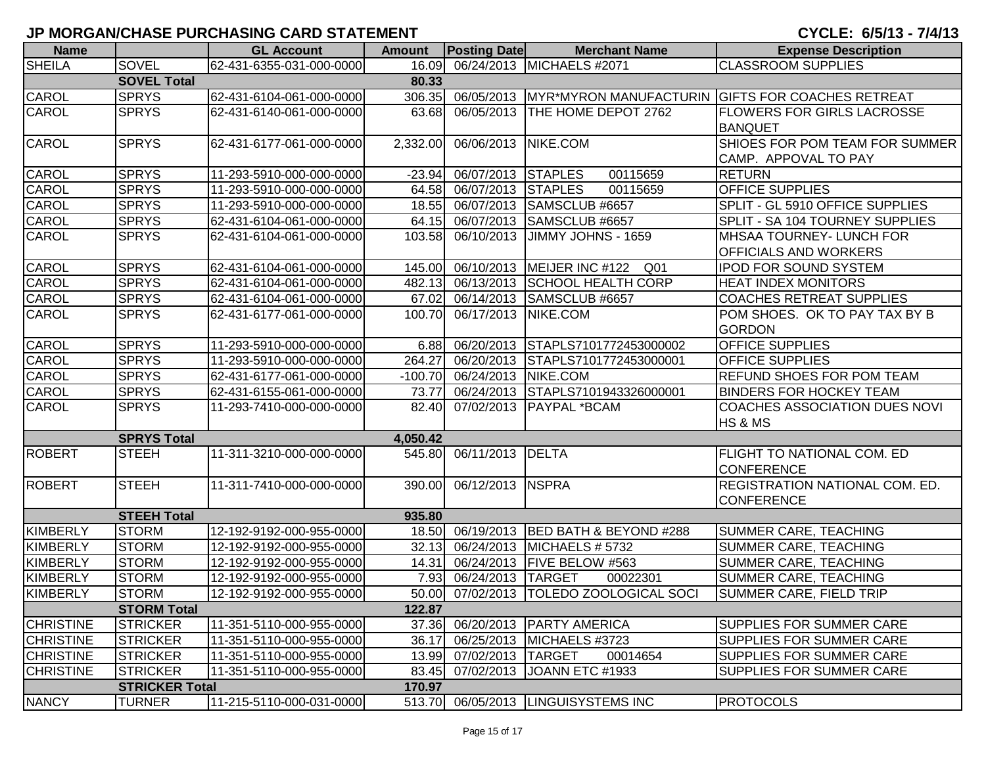|                  |                       | י ווים ווים שווהט בין אוויס וויסוויס ומשמש את ה |               |                         |                                           | U I VLL. VIVI IV<br>. <i>. .</i> 77                                |
|------------------|-----------------------|-------------------------------------------------|---------------|-------------------------|-------------------------------------------|--------------------------------------------------------------------|
| <b>Name</b>      |                       | <b>GL Account</b>                               | <b>Amount</b> | <b>Posting Date</b>     | <b>Merchant Name</b>                      | <b>Expense Description</b>                                         |
| <b>SHEILA</b>    | <b>SOVEL</b>          | 62-431-6355-031-000-0000                        | 16.09         |                         | 06/24/2013 MICHAELS #2071                 | <b>CLASSROOM SUPPLIES</b>                                          |
|                  | <b>SOVEL Total</b>    |                                                 | 80.33         |                         |                                           |                                                                    |
| <b>CAROL</b>     | <b>SPRYS</b>          | 62-431-6104-061-000-0000                        |               |                         |                                           | 306.35 06/05/2013 MYR*MYRON MANUFACTURIN GIFTS FOR COACHES RETREAT |
| CAROL            | <b>SPRYS</b>          | 62-431-6140-061-000-0000                        | 63.68         | 06/05/2013              | <b>THE HOME DEPOT 2762</b>                | <b>FLOWERS FOR GIRLS LACROSSE</b>                                  |
|                  |                       |                                                 |               |                         |                                           | <b>BANQUET</b>                                                     |
| <b>CAROL</b>     | <b>SPRYS</b>          | 62-431-6177-061-000-0000                        | 2,332.00      | 06/06/2013              | NIKE.COM                                  | SHIOES FOR POM TEAM FOR SUMMER                                     |
|                  |                       |                                                 |               |                         |                                           | CAMP. APPOVAL TO PAY                                               |
| <b>CAROL</b>     | <b>SPRYS</b>          | 11-293-5910-000-000-0000                        | $-23.94$      | 06/07/2013 STAPLES      | 00115659                                  | <b>RETURN</b>                                                      |
| <b>CAROL</b>     | <b>SPRYS</b>          | 11-293-5910-000-000-0000                        | 64.58         | 06/07/2013              | <b>STAPLES</b><br>00115659                | <b>OFFICE SUPPLIES</b>                                             |
| <b>CAROL</b>     | <b>SPRYS</b>          | 11-293-5910-000-000-0000                        | 18.55         | 06/07/2013              | SAMSCLUB #6657                            | SPLIT - GL 5910 OFFICE SUPPLIES                                    |
| <b>CAROL</b>     | <b>SPRYS</b>          | 62-431-6104-061-000-0000                        | 64.15         | 06/07/2013              | SAMSCLUB #6657                            | SPLIT - SA 104 TOURNEY SUPPLIES                                    |
| <b>CAROL</b>     | <b>SPRYS</b>          | 62-431-6104-061-000-0000                        | 103.58        | 06/10/2013              | <b>JIMMY JOHNS - 1659</b>                 | MHSAA TOURNEY- LUNCH FOR                                           |
|                  |                       |                                                 |               |                         |                                           | <b>OFFICIALS AND WORKERS</b>                                       |
| CAROL            | <b>SPRYS</b>          | 62-431-6104-061-000-0000                        | 145.00        |                         | 06/10/2013 MEIJER INC #122 Q01            | <b>IPOD FOR SOUND SYSTEM</b>                                       |
| CAROL            | <b>SPRYS</b>          | 62-431-6104-061-000-0000                        | 482.13        | 06/13/2013              | <b>SCHOOL HEALTH CORP</b>                 | <b>HEAT INDEX MONITORS</b>                                         |
| <b>CAROL</b>     | <b>SPRYS</b>          | 62-431-6104-061-000-0000                        | 67.02         | 06/14/2013              | SAMSCLUB #6657                            | <b>COACHES RETREAT SUPPLIES</b>                                    |
| <b>CAROL</b>     | <b>SPRYS</b>          | 62-431-6177-061-000-0000                        | 100.70        | 06/17/2013              | NIKE.COM                                  | POM SHOES. OK TO PAY TAX BY B                                      |
|                  |                       |                                                 |               |                         |                                           | <b>GORDON</b>                                                      |
| <b>CAROL</b>     | <b>SPRYS</b>          | 11-293-5910-000-000-0000                        | 6.88          | 06/20/2013              | STAPLS7101772453000002                    | <b>OFFICE SUPPLIES</b>                                             |
| <b>CAROL</b>     | <b>SPRYS</b>          | 11-293-5910-000-000-0000                        | 264.27        |                         | 06/20/2013 STAPLS7101772453000001         | <b>OFFICE SUPPLIES</b>                                             |
| <b>CAROL</b>     | <b>SPRYS</b>          | 62-431-6177-061-000-0000                        | $-100.70$     | 06/24/2013 NIKE.COM     |                                           | <b>REFUND SHOES FOR POM TEAM</b>                                   |
| <b>CAROL</b>     | <b>SPRYS</b>          | 62-431-6155-061-000-0000                        | 73.77         | 06/24/2013              | STAPLS7101943326000001                    | <b>BINDERS FOR HOCKEY TEAM</b>                                     |
| <b>CAROL</b>     | <b>SPRYS</b>          | 11-293-7410-000-000-0000                        | 82.40         | 07/02/2013              | <b>PAYPAL *BCAM</b>                       | <b>COACHES ASSOCIATION DUES NOVI</b>                               |
|                  |                       |                                                 |               |                         |                                           | HS & MS                                                            |
|                  | <b>SPRYS Total</b>    |                                                 | 4,050.42      |                         |                                           |                                                                    |
| <b>ROBERT</b>    | <b>STEEH</b>          | 11-311-3210-000-000-0000                        |               | 545.80 06/11/2013       | <b>IDELTA</b>                             | <b>FLIGHT TO NATIONAL COM. ED</b>                                  |
|                  |                       |                                                 |               |                         |                                           | <b>CONFERENCE</b>                                                  |
| <b>ROBERT</b>    | <b>STEEH</b>          | 11-311-7410-000-000-0000                        | 390.00        | 06/12/2013              | <b>NSPRA</b>                              | <b>REGISTRATION NATIONAL COM. ED.</b>                              |
|                  |                       |                                                 |               |                         |                                           | <b>CONFERENCE</b>                                                  |
|                  | <b>STEEH Total</b>    |                                                 | 935.80        |                         |                                           |                                                                    |
| <b>KIMBERLY</b>  | <b>STORM</b>          | 12-192-9192-000-955-0000                        | 18.50         | 06/19/2013              | BED BATH & BEYOND #288                    | <b>SUMMER CARE, TEACHING</b>                                       |
| <b>KIMBERLY</b>  | <b>STORM</b>          | 12-192-9192-000-955-0000                        | 32.13         | 06/24/2013              | MICHAELS # 5732                           | <b>SUMMER CARE, TEACHING</b>                                       |
| KIMBERLY         | <b>STORM</b>          | 12-192-9192-000-955-0000                        | 14.31         |                         | 06/24/2013   FIVE BELOW #563              | <b>SUMMER CARE, TEACHING</b>                                       |
| KIMBERLY         | <b>STORM</b>          | 12-192-9192-000-955-0000                        | 7.93          | 06/24/2013 TARGET       | 00022301                                  | <b>SUMMER CARE, TEACHING</b>                                       |
| <b>KIMBERLY</b>  | <b>STORM</b>          | 12-192-9192-000-955-0000                        |               |                         | 50.00 07/02/2013   TOLEDO ZOOLOGICAL SOCI | SUMMER CARE, FIELD TRIP                                            |
|                  | <b>STORM Total</b>    |                                                 | 122.87        |                         |                                           |                                                                    |
| <b>CHRISTINE</b> | <b>STRICKER</b>       | 11-351-5110-000-955-0000                        |               |                         | 37.36 06/20/2013 PARTY AMERICA            | <b>SUPPLIES FOR SUMMER CARE</b>                                    |
| <b>CHRISTINE</b> | <b>STRICKER</b>       | 11-351-5110-000-955-0000                        | 36.17         |                         | 06/25/2013 MICHAELS #3723                 | <b>SUPPLIES FOR SUMMER CARE</b>                                    |
| <b>CHRISTINE</b> | <b>STRICKER</b>       | 11-351-5110-000-955-0000                        |               | 13.99 07/02/2013 TARGET | 00014654                                  | <b>SUPPLIES FOR SUMMER CARE</b>                                    |
| <b>CHRISTINE</b> | <b>STRICKER</b>       | 11-351-5110-000-955-0000                        |               |                         | 83.45 07/02/2013 JOANN ETC #1933          | <b>SUPPLIES FOR SUMMER CARE</b>                                    |
|                  | <b>STRICKER Total</b> |                                                 | 170.97        |                         |                                           |                                                                    |
| <b>NANCY</b>     | <b>TURNER</b>         | 11-215-5110-000-031-0000                        |               |                         | 513.70 06/05/2013 LINGUISYSTEMS INC       | <b>PROTOCOLS</b>                                                   |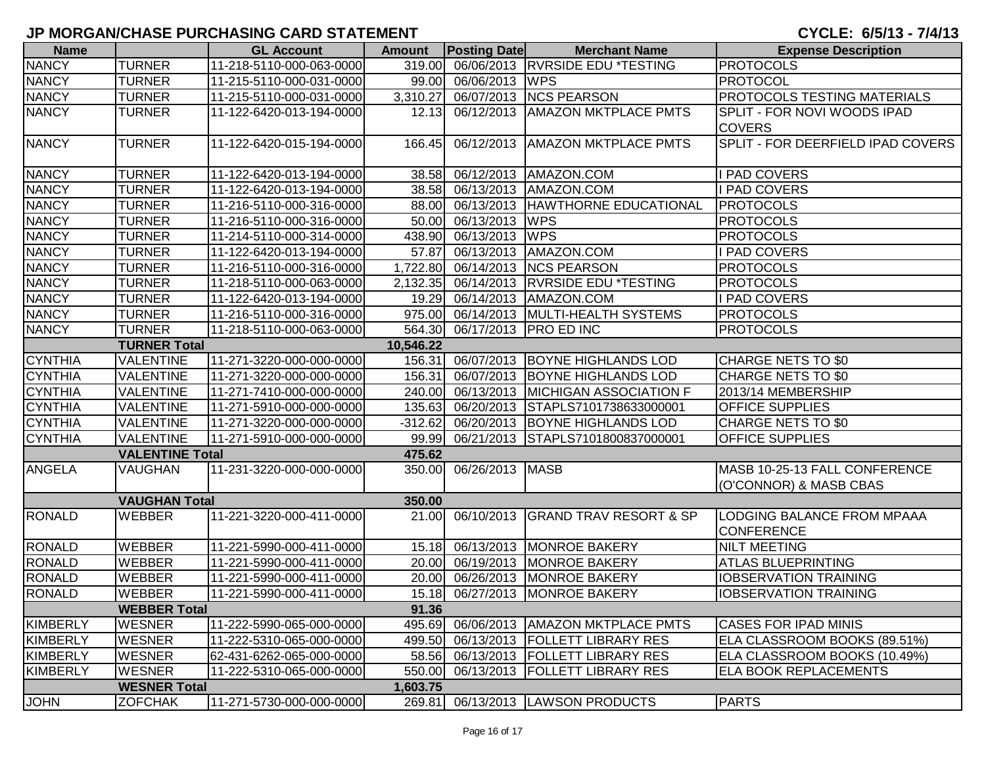| <b>Name</b>     |                        | <b>GL Account</b>        | <b>Amount</b> | <b>Posting Date</b>    | <b>Merchant Name</b>                 | <b>Expense Description</b>        |
|-----------------|------------------------|--------------------------|---------------|------------------------|--------------------------------------|-----------------------------------|
| <b>NANCY</b>    | <b>TURNER</b>          | 11-218-5110-000-063-0000 | 319.00        |                        | 06/06/2013 RVRSIDE EDU *TESTING      | <b>PROTOCOLS</b>                  |
| <b>NANCY</b>    | <b>TURNER</b>          | 11-215-5110-000-031-0000 | 99.00         | 06/06/2013 WPS         |                                      | <b>PROTOCOL</b>                   |
| <b>NANCY</b>    | <b>TURNER</b>          | 11-215-5110-000-031-0000 | 3,310.27      |                        | 06/07/2013 NCS PEARSON               | PROTOCOLS TESTING MATERIALS       |
| <b>NANCY</b>    | <b>TURNER</b>          | 11-122-6420-013-194-0000 | 12.13         | 06/12/2013             | <b>AMAZON MKTPLACE PMTS</b>          | SPLIT - FOR NOVI WOODS IPAD       |
|                 |                        |                          |               |                        |                                      | <b>COVERS</b>                     |
| <b>NANCY</b>    | <b>TURNER</b>          | 11-122-6420-015-194-0000 | 166.45        |                        | 06/12/2013   AMAZON MKTPLACE PMTS    | SPLIT - FOR DEERFIELD IPAD COVERS |
|                 |                        |                          |               |                        |                                      |                                   |
| <b>NANCY</b>    | <b>TURNER</b>          | 11-122-6420-013-194-0000 | 38.58         |                        | 06/12/2013   AMAZON.COM              | I PAD COVERS                      |
| <b>NANCY</b>    | <b>TURNER</b>          | 11-122-6420-013-194-0000 | 38.58         | 06/13/2013             | AMAZON.COM                           | I PAD COVERS                      |
| <b>NANCY</b>    | <b>TURNER</b>          | 11-216-5110-000-316-0000 | 88.00         | 06/13/2013             | HAWTHORNE EDUCATIONAL                | <b>PROTOCOLS</b>                  |
| <b>NANCY</b>    | <b>TURNER</b>          | 11-216-5110-000-316-0000 | 50.00         | 06/13/2013             | <b>WPS</b>                           | <b>PROTOCOLS</b>                  |
| <b>NANCY</b>    | <b>TURNER</b>          | 11-214-5110-000-314-0000 | 438.90        | 06/13/2013 WPS         |                                      | <b>PROTOCOLS</b>                  |
| <b>NANCY</b>    | <b>TURNER</b>          | 11-122-6420-013-194-0000 | 57.87         | 06/13/2013             | AMAZON.COM                           | I PAD COVERS                      |
| <b>NANCY</b>    | <b>TURNER</b>          | 11-216-5110-000-316-0000 | 1,722.80      |                        | 06/14/2013 NCS PEARSON               | <b>PROTOCOLS</b>                  |
| <b>NANCY</b>    | <b>TURNER</b>          | 11-218-5110-000-063-0000 | 2,132.35      |                        | 06/14/2013 RVRSIDE EDU *TESTING      | <b>PROTOCOLS</b>                  |
| <b>NANCY</b>    | <b>TURNER</b>          | 11-122-6420-013-194-0000 | 19.29         |                        | 06/14/2013   AMAZON.COM              | I PAD COVERS                      |
| <b>NANCY</b>    | <b>TURNER</b>          | 11-216-5110-000-316-0000 | 975.00        |                        | 06/14/2013   MULTI-HEALTH SYSTEMS    | <b>PROTOCOLS</b>                  |
| <b>NANCY</b>    | <b>TURNER</b>          | 11-218-5110-000-063-0000 |               |                        | 564.30 06/17/2013 PRO ED INC         | <b>PROTOCOLS</b>                  |
|                 | <b>TURNER Total</b>    |                          | 10,546.22     |                        |                                      |                                   |
| <b>CYNTHIA</b>  | <b>VALENTINE</b>       | 11-271-3220-000-000-0000 | 156.31        |                        | 06/07/2013 BOYNE HIGHLANDS LOD       | CHARGE NETS TO \$0                |
| <b>CYNTHIA</b>  | <b>VALENTINE</b>       | 11-271-3220-000-000-0000 | 156.31        |                        | 06/07/2013 BOYNE HIGHLANDS LOD       | CHARGE NETS TO \$0                |
| <b>CYNTHIA</b>  | <b>VALENTINE</b>       | 11-271-7410-000-000-0000 | 240.00        | 06/13/2013             | <b>MICHIGAN ASSOCIATION F</b>        | 2013/14 MEMBERSHIP                |
| <b>CYNTHIA</b>  | <b>VALENTINE</b>       | 11-271-5910-000-000-0000 | 135.63        | 06/20/2013             | STAPLS7101738633000001               | <b>OFFICE SUPPLIES</b>            |
| <b>CYNTHIA</b>  | <b>VALENTINE</b>       | 11-271-3220-000-000-0000 | $-312.62$     |                        | 06/20/2013 BOYNE HIGHLANDS LOD       | <b>CHARGE NETS TO \$0</b>         |
| <b>CYNTHIA</b>  | <b>VALENTINE</b>       | 11-271-5910-000-000-0000 | 99.99         |                        | 06/21/2013 STAPLS7101800837000001    | <b>OFFICE SUPPLIES</b>            |
|                 | <b>VALENTINE Total</b> |                          | 475.62        |                        |                                      |                                   |
| <b>ANGELA</b>   | <b>VAUGHAN</b>         | 11-231-3220-000-000-0000 |               | 350.00 06/26/2013 MASB |                                      | MASB 10-25-13 FALL CONFERENCE     |
|                 |                        |                          |               |                        |                                      | (O'CONNOR) & MASB CBAS            |
|                 | <b>VAUGHAN Total</b>   |                          | 350.00        |                        |                                      |                                   |
| <b>RONALD</b>   | <b>WEBBER</b>          | 11-221-3220-000-411-0000 | 21.00         |                        | 06/10/2013 GRAND TRAV RESORT & SP    | LODGING BALANCE FROM MPAAA        |
|                 |                        |                          |               |                        |                                      | <b>CONFERENCE</b>                 |
| <b>RONALD</b>   | <b>WEBBER</b>          | 11-221-5990-000-411-0000 | 15.18         |                        | 06/13/2013 MONROE BAKERY             | <b>NILT MEETING</b>               |
| <b>RONALD</b>   | <b>WEBBER</b>          | 11-221-5990-000-411-0000 | 20.00         |                        | 06/19/2013 MONROE BAKERY             | <b>ATLAS BLUEPRINTING</b>         |
| <b>RONALD</b>   | <b>WEBBER</b>          | 11-221-5990-000-411-0000 | 20.00         | 06/26/2013             | MONROE BAKERY                        | <b>IOBSERVATION TRAINING</b>      |
| <b>RONALD</b>   | <b>WEBBER</b>          | 11-221-5990-000-411-0000 |               |                        | 15.18 06/27/2013 MONROE BAKERY       | <b>IOBSERVATION TRAINING</b>      |
|                 | <b>WEBBER Total</b>    |                          | 91.36         |                        |                                      |                                   |
| <b>KIMBERLY</b> | <b>WESNER</b>          | 11-222-5990-065-000-0000 | 495.69        |                        | 06/06/2013   AMAZON MKTPLACE PMTS    | <b>CASES FOR IPAD MINIS</b>       |
| <b>KIMBERLY</b> | <b>WESNER</b>          | 11-222-5310-065-000-0000 | 499.50        |                        | 06/13/2013   FOLLETT LIBRARY RES     | ELA CLASSROOM BOOKS (89.51%)      |
| <b>KIMBERLY</b> | <b>WESNER</b>          | 62-431-6262-065-000-0000 |               |                        | 58.56 06/13/2013 FOLLETT LIBRARY RES | ELA CLASSROOM BOOKS (10.49%)      |
| <b>KIMBERLY</b> | <b>WESNER</b>          | 11-222-5310-065-000-0000 | 550.00        |                        | 06/13/2013 FOLLETT LIBRARY RES       | <b>ELA BOOK REPLACEMENTS</b>      |
|                 | <b>WESNER Total</b>    |                          | 1,603.75      |                        |                                      |                                   |
| <b>JOHN</b>     | <b>ZOFCHAK</b>         | 11-271-5730-000-000-0000 | 269.81        |                        | 06/13/2013  LAWSON PRODUCTS          | <b>PARTS</b>                      |